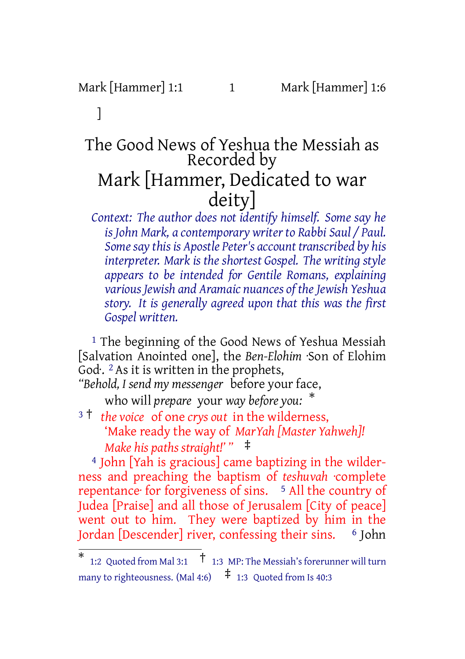# Mark [Hammer] 1:1 1 Mark [Hammer] 1:6

# ]

# The Good News of Yeshua the Messiah as Recorded by Mark [Hammer, Dedicated to war deity]

*Context: The author does not identify himself. Some say he is John Mark, a contemporary writer to Rabbi Saul / Paul. Somesay this is Apostle Peter's account transcribed by his interpreter. Mark is the shortest Gospel. The writing style appears to be intended for Gentile Romans, explaining various Jewish and Aramaic nuances of theJewish Yeshua story. It is generally agreed upon that this was the first Gospel written.*

<sup>1</sup> The beginning of the Good News of Yeshua Messiah [Salvation Anointed one], the *Ben-Elohim* ·Son of Elohim God. <sup>2</sup> As it is written in the prophets,

*"Behold, I send my messenger* before your face, who will *prepare* your *way before you:* \*

<sup>3</sup> † *the voice* of one *crys out* in the wilderness, 'Make ready the way of *MarYah [Master Yahweh]! Make his paths straight!' "* ‡

4 John [Yah is gracious] came baptizing in the wilderness and preaching the baptism of *teshuvah* ·complete repentance for forgiveness of sins. <sup>5</sup> All the country of Judea [Praise] and all those of Jerusalem [City of peace] went out to him. They were baptized by him in the Jordan [Descender] river, confessing their sins. 6 John

<sup>\*</sup> 1:2 Quoted from Mal 3:1 † 1:3 MP: The Messiah's forerunner will turn many to righteousness. (Mal 4:6)  $\uparrow$  1:3 Quoted from Is 40:3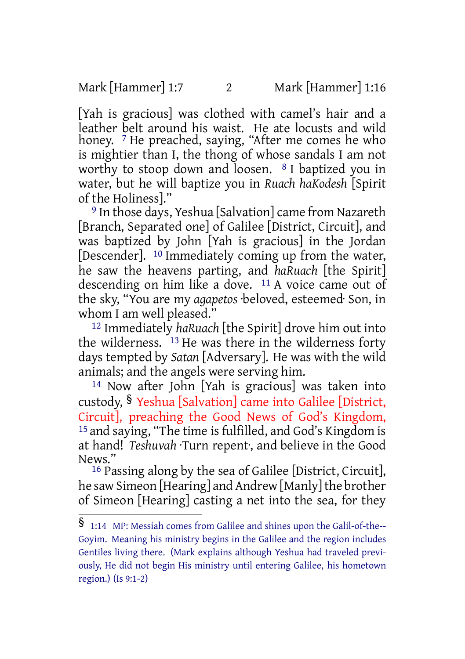Mark [Hammer] 1:7 2 Mark [Hammer] 1:16

[Yah is gracious] was clothed with camel's hair and a leather belt around his waist. He ate locusts and wild honey. <sup>7</sup> He preached, saying, "After me comes he who is mightier than I, the thong of whose sandals I am not worthy to stoop down and loosen. 8 I baptized you in water, but he will baptize you in *Ruach haKodesh* [Spirit of the Holiness]."

9 In those days, Yeshua [Salvation] came from Nazareth [Branch, Separated one] of Galilee [District, Circuit], and was baptized by John [Yah is gracious] in the Jordan [Descender]. <sup>10</sup> Immediately coming up from the water, he saw the heavens parting, and *haRuach* [the Spirit] descending on him like a dove. <sup>11</sup> A voice came out of the sky, "You are my *agapetos* ·beloved, esteemed· Son, in whom I am well pleased."

12 Immediately *haRuach* [the Spirit] drove him out into the wilderness. 13 He was there in the wilderness forty days tempted by *Satan* [Adversary]. He was with the wild animals; and the angels were serving him.

14 Now after John [Yah is gracious] was taken into custody, § Yeshua [Salvation] came into Galilee [District, Circuit], preaching the Good News of God's Kingdom, 15 and saying, "The time is fulfilled, and God's Kingdom is at hand! *Teshuvah* ·Turn repent·, and believe in the Good News."

16 Passing along by the sea of Galilee [District, Circuit], he saw Simeon [Hearing] and Andrew [Manly] the brother of Simeon [Hearing] casting a net into the sea, for they

<sup>§</sup> 1:14 MP: Messiah comes from Galilee and shines upon the Galil-of-the-- Goyim. Meaning his ministry begins in the Galilee and the region includes Gentiles living there. (Mark explains although Yeshua had traveled previously, He did not begin His ministry until entering Galilee, his hometown region.) (Is 9:1-2)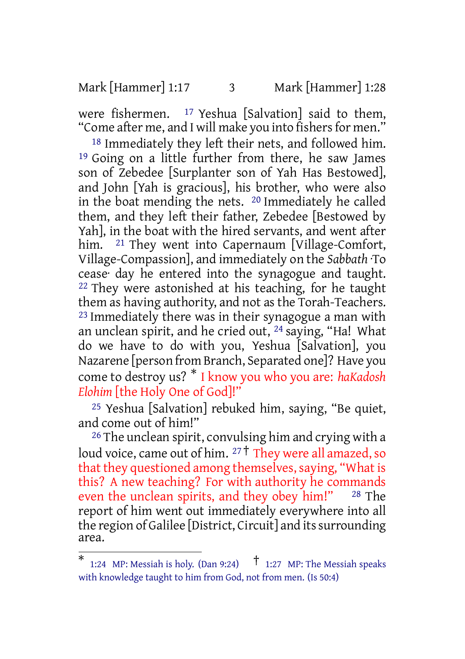Mark [Hammer] 1:17 3 Mark [Hammer] 1:28

were fishermen.  $17$  Yeshua [Salvation] said to them, "Come after me, and I will make you into fishers for men."

18 Immediately they left their nets, and followed him. 19 Going on a little further from there, he saw James son of Zebedee [Surplanter son of Yah Has Bestowed], and John [Yah is gracious], his brother, who were also in the boat mending the nets. 20 Immediately he called them, and they left their father, Zebedee [Bestowed by Yah], in the boat with the hired servants, and went after him. <sup>21</sup> They went into Capernaum [Village-Comfort, Village-Compassion], and immediately on the *Sabbath* ·To cease· day he entered into the synagogue and taught. 22 They were astonished at his teaching, for he taught them as having authority, and not as the Torah-Teachers. <sup>23</sup> Immediately there was in their synagogue a man with an unclean spirit, and he cried out, 24 saying, "Ha! What do we have to do with you, Yeshua [Salvation], you Nazarene [person from Branch, Separated one]? Have you come to destroy us? \* I know you who you are: *haKadosh Elohim* [the Holy One of God]!"

25 Yeshua [Salvation] rebuked him, saying, "Be quiet, and come out of him!"

26 The unclean spirit, convulsing him and crying with a loud voice, came out of him.  $27 \text{ +}$  They were all amazed, so that they questioned among themselves, saying, "What is this? A new teaching? For with authority he commands even the unclean spirits, and they obey him!" <sup>28</sup> The report of him went out immediately everywhere into all the region of Galilee [District, Circuit] and its surrounding area.

<sup>\*</sup> 1:24 MP: Messiah is holy. (Dan 9:24)  $\uparrow$  1:27 MP: The Messiah speaks with knowledge taught to him from God, not from men. (Is 50:4)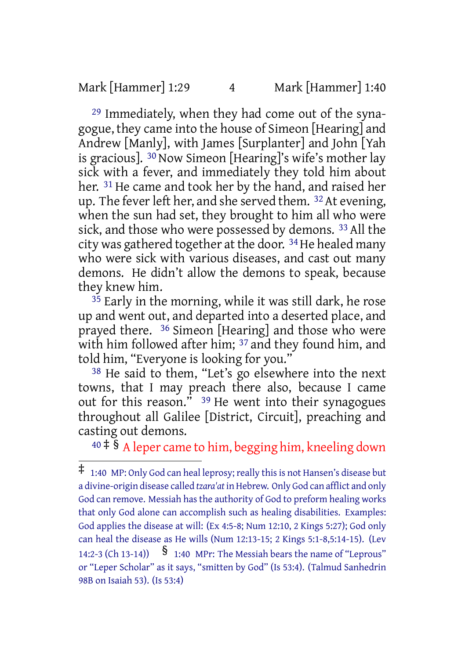Mark [Hammer] 1:29 4 Mark [Hammer] 1:40

29 Immediately, when they had come out of the synagogue, they came into the house of Simeon [Hearing] and Andrew [Manly], with James [Surplanter] and John [Yah is gracious]. 30 Now Simeon [Hearing]'s wife's mother lay sick with a fever, and immediately they told him about her. 31 He came and took her by the hand, and raised her up. The fever left her, and she served them.  $32$  At evening, when the sun had set, they brought to him all who were sick, and those who were possessed by demons. 33 All the city was gathered together at the door. 34He healed many who were sick with various diseases, and cast out many demons. He didn't allow the demons to speak, because they knew him.

 $35$  Early in the morning, while it was still dark, he rose up and went out, and departed into a deserted place, and prayed there. 36 Simeon [Hearing] and those who were with him followed after him; <sup>37</sup> and they found him, and told him, "Everyone is looking for you."

38 He said to them, "Let's go elsewhere into the next towns, that I may preach there also, because I came out for this reason." 39 He went into their synagogues throughout all Galilee [District, Circuit], preaching and casting out demons.

 $40 \div \tilde{\S}$  A leper came to him, begging him, kneeling down

 $\ddagger$  1:40 MP: Only God can heal leprosy; really this is not Hansen's disease but a divine-origin disease called *tzara'at* in Hebrew. Only God can afflict and only God can remove. Messiah has the authority of God to preform healing works that only God alone can accomplish such as healing disabilities. Examples: God applies the disease at will: (Ex 4:5-8; Num 12:10, 2 Kings 5:27); God only can heal the disease as He wills (Num 12:13-15; 2 Kings 5:1-8,5:14-15). (Lev 14:2-3 (Ch 13-14))  $\frac{1}{3}$  1:40 MPr: The Messiah bears the name of "Leprous" or "Leper Scholar" as it says, "smitten by God" (Is 53:4). (Talmud Sanhedrin 98B on Isaiah 53). (Is 53:4)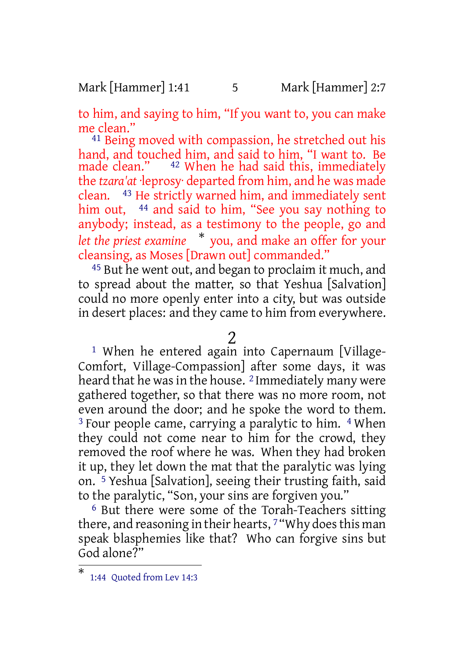#### Mark [Hammer] 1:41 5 Mark [Hammer] 2:7

to him, and saying to him, "If you want to, you can make me clean."

41 Being moved with compassion, he stretched out his hand, and touched him, and said to him, "I want to. Be made clean." 42 When he had said this, immediately the *tzara'at* ·leprosy· departed from him, and he was made clean. 43 He strictly warned him, and immediately sent him out, <sup>44</sup> and said to him, "See you say nothing to anybody; instead, as a testimony to the people, go and *let the priest examine* \* you, and make an offer for your cleansing, as Moses [Drawn out] commanded."

<sup>45</sup> But he went out, and began to proclaim it much, and to spread about the matter, so that Yeshua [Salvation] could no more openly enter into a city, but was outside in desert places: and they came to him from everywhere.

2

<sup>1</sup> When he entered again into Capernaum [Village-Comfort, Village-Compassion] after some days, it was heard that he was in the house. <sup>2</sup> Immediately many were gathered together, so that there was no more room, not even around the door; and he spoke the word to them. <sup>3</sup> Four people came, carrying a paralytic to him. <sup>4</sup> When they could not come near to him for the crowd, they removed the roof where he was. When they had broken it up, they let down the mat that the paralytic was lying on. 5 Yeshua [Salvation], seeing their trusting faith, said to the paralytic, "Son, your sins are forgiven you."

6 But there were some of the Torah-Teachers sitting there, and reasoning in their hearts, 7 "Why does this man speak blasphemies like that? Who can forgive sins but God alone?"

<sup>\*</sup> 1:44 Quoted from Lev 14:3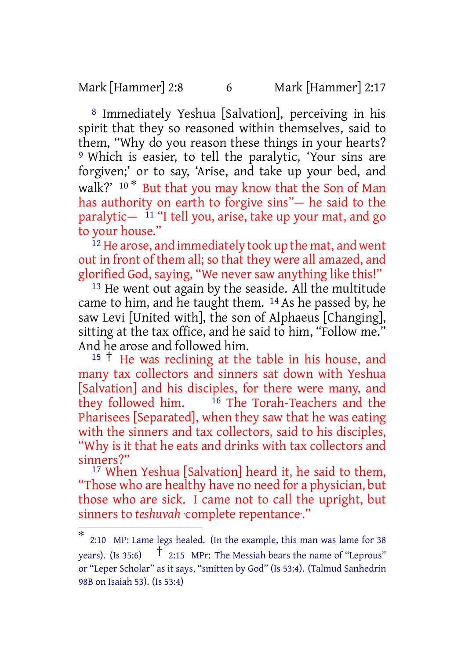Mark [Hammer] 2:8 6 Mark [Hammer] 2:17

8 Immediately Yeshua [Salvation], perceiving in his spirit that they so reasoned within themselves, said to them, "Why do you reason these things in your hearts? 9 Which is easier, to tell the paralytic, 'Your sins are forgiven;' or to say, 'Arise, and take up your bed, and walk?' <sup>10</sup><sup>\*</sup> But that you may know that the Son of Man has authority on earth to forgive sins"— he said to the paralytic— $11$  "I tell you, arise, take up your mat, and go to your house."

<sup>12</sup> He arose, and immediately took up the mat, and went out in front of them all; so that they were all amazed, and glorified God, saying, "We never saw anything like this!"

13 He went out again by the seaside. All the multitude came to him, and he taught them. 14 As he passed by, he saw Levi [United with], the son of Alphaeus [Changing], sitting at the tax office, and he said to him, "Follow me." And he arose and followed him.

<sup>15</sup> † He was reclining at the table in his house, and many tax collectors and sinners sat down with Yeshua [Salvation] and his disciples, for there were many, and they followed him. <sup>16</sup> The Torah-Teachers and the <sup>16</sup> The Torah-Teachers and the Pharisees [Separated], when they saw that he was eating with the sinners and tax collectors, said to his disciples, "Why is it that he eats and drinks with tax collectors and sinners?"

17 When Yeshua [Salvation] heard it, he said to them, "Those who are healthy have no need for a physician, but those who are sick. I came not to call the upright, but sinners to *teshuvah* ·complete repentance·."

<sup>\*</sup> 2:10 MP: Lame legs healed. (In the example, this man was lame for 38 years). (Is 35:6)  $\uparrow$  2:15 MPr: The Messiah bears the name of "Leprous" or "Leper Scholar" as it says, "smitten by God" (Is 53:4). (Talmud Sanhedrin 98B on Isaiah 53). (Is 53:4)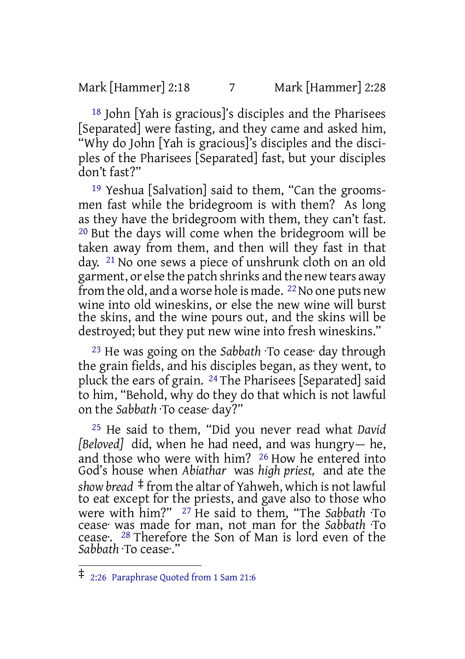Mark [Hammer] 2:18 7 Mark [Hammer] 2:28

18 John [Yah is gracious]'s disciples and the Pharisees [Separated] were fasting, and they came and asked him, "Why do John [Yah is gracious]'s disciples and the disciples of the Pharisees [Separated] fast, but your disciples don't fast?"

19 Yeshua [Salvation] said to them, "Can the groomsmen fast while the bridegroom is with them? As long as they have the bridegroom with them, they can't fast. 20 But the days will come when the bridegroom will be taken away from them, and then will they fast in that day. 21 No one sews a piece of unshrunk cloth on an old garment, or else the patch shrinks and the new tears away from the old, and a worse hole is made. <sup>22</sup> No one puts new wine into old wineskins, or else the new wine will burst the skins, and the wine pours out, and the skins will be destroyed; but they put new wine into fresh wineskins."

23 He was going on the *Sabbath* ·To cease· day through the grain fields, and his disciples began, as they went, to pluck the ears of grain. 24 The Pharisees [Separated] said to him, "Behold, why do they do that which is not lawful on the *Sabbath* ·To cease· day?"

25 He said to them, "Did you never read what *David [Beloved]* did, when he had need, and was hungry— he, and those who were with him? 26 How he entered into God's house when *Abiathar* was *high priest,* and ate the *show bread* ‡ from the altar of Yahweh, which is not lawful to eat except for the priests, and gave also to those who were with him?" 27 He said to them, "The *Sabbath* ·To cease· was made for man, not man for the *Sabbath* ·To cease·. 28 Therefore the Son of Man is lord even of the *Sabbath* ·To cease·."

<sup>‡</sup> 2:26 Paraphrase Quoted from <sup>1</sup> Sam 21:6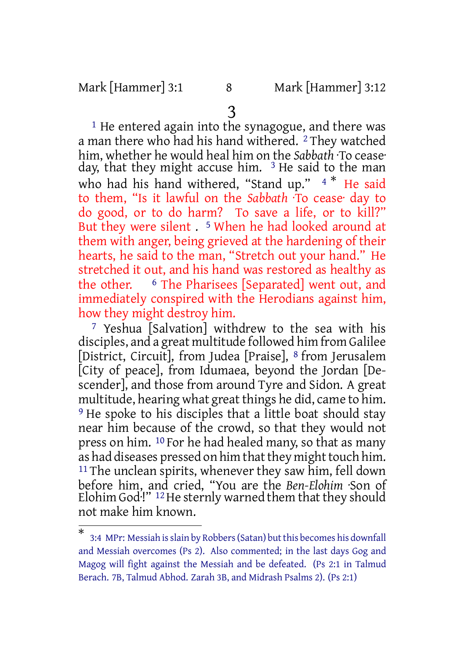Mark [Hammer] 3:1 8 Mark [Hammer] 3:12

3

<sup>1</sup> He entered again into the synagogue, and there was a man there who had his hand withered. 2 They watched him, whether he would heal him on the *Sabbath* ·To cease· day, that they might accuse him. <sup>3</sup> He said to the man who had his hand withered, "Stand up." 4  $*$  He said to them, "Is it lawful on the *Sabbath* ·To cease· day to do good, or to do harm? To save a life, or to kill?" But they were silent . 5 When he had looked around at them with anger, being grieved at the hardening of their hearts, he said to the man, "Stretch out your hand." He stretched it out, and his hand was restored as healthy as the other. 6 The Pharisees [Separated] went out, and immediately conspired with the Herodians against him, how they might destroy him.

7 Yeshua [Salvation] withdrew to the sea with his disciples, and a great multitude followed him from Galilee [District, Circuit], from Judea [Praise], 8 from Jerusalem [City of peace], from Idumaea, beyond the Jordan [Descender], and those from around Tyre and Sidon. A great multitude, hearing what great things he did, came to him. <sup>9</sup> He spoke to his disciples that a little boat should stay near him because of the crowd, so that they would not press on him. 10 For he had healed many, so that as many as had diseases pressed on him that they might touch him. <sup>11</sup> The unclean spirits, whenever they saw him, fell down before him, and cried, "You are the *Ben-Elohim* ·Son of Elohim God<sup> $\cdot$ !" <sup>12</sup> He sternly warned them that they should</sup> not make him known.

<sup>\*</sup> 3:4 MPr: Messiah is slain by Robbers (Satan) but this becomes his downfall and Messiah overcomes (Ps 2). Also commented; in the last days Gog and Magog will fight against the Messiah and be defeated. (Ps 2:1 in Talmud Berach. 7B, Talmud Abhod. Zarah 3B, and Midrash Psalms 2). (Ps 2:1)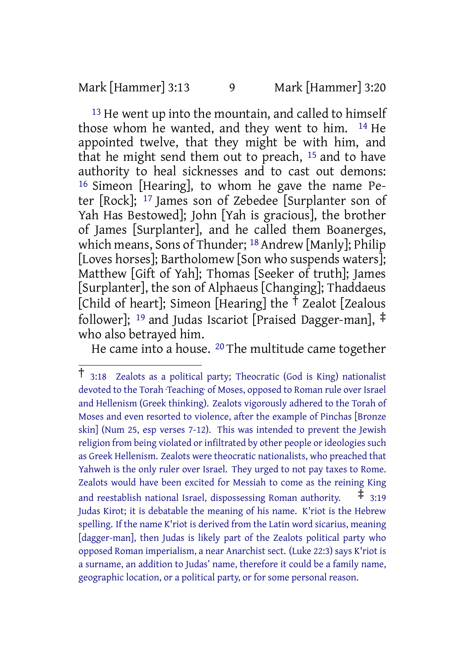### Mark [Hammer] 3:13 9 Mark [Hammer] 3:20

<sup>13</sup> He went up into the mountain, and called to himself those whom he wanted, and they went to him. 14 He appointed twelve, that they might be with him, and that he might send them out to preach, 15 and to have authority to heal sicknesses and to cast out demons: 16 Simeon [Hearing], to whom he gave the name Peter [Rock]; 17 James son of Zebedee [Surplanter son of Yah Has Bestowed]; John [Yah is gracious], the brother of James [Surplanter], and he called them Boanerges, which means, Sons of Thunder; 18 Andrew [Manly]; Philip [Loves horses]; Bartholomew [Son who suspends waters]; Matthew [Gift of Yah]; Thomas [Seeker of truth]; James [Surplanter], the son of Alphaeus [Changing]; Thaddaeus [Child of heart]; Simeon [Hearing] the  $\check{\tau}$  Zealot [Zealous follower]; <sup>19</sup> and Judas Iscariot [Praised Dagger-man], ‡ who also betrayed him.

He came into a house. 20 The multitude came together

 $\overline{1}$  3:18 Zealots as a political party; Theocratic (God is King) nationalist devoted to the Torah ·Teaching· of Moses, opposed to Roman rule over Israel and Hellenism (Greek thinking). Zealots vigorously adhered to the Torah of Moses and even resorted to violence, after the example of Pinchas [Bronze skin] (Num 25, esp verses 7-12). This was intended to prevent the Jewish religion from being violated or infiltrated by other people or ideologies such as Greek Hellenism. Zealots were theocratic nationalists, who preached that Yahweh is the only ruler over Israel. They urged to not pay taxes to Rome. Zealots would have been excited for Messiah to come as the reining King and reestablish national Israel, dispossessing Roman authority.  $\pm$  3:19 Judas Kirot; it is debatable the meaning of his name. K'riot is the Hebrew spelling. If the name K'riot is derived from the Latin word sicarius, meaning [dagger-man], then Judas is likely part of the Zealots political party who opposed Roman imperialism, a near Anarchist sect. (Luke 22:3) says K'riot is a surname, an addition to Judas' name, therefore it could be a family name, geographic location, or a political party, or for some personal reason.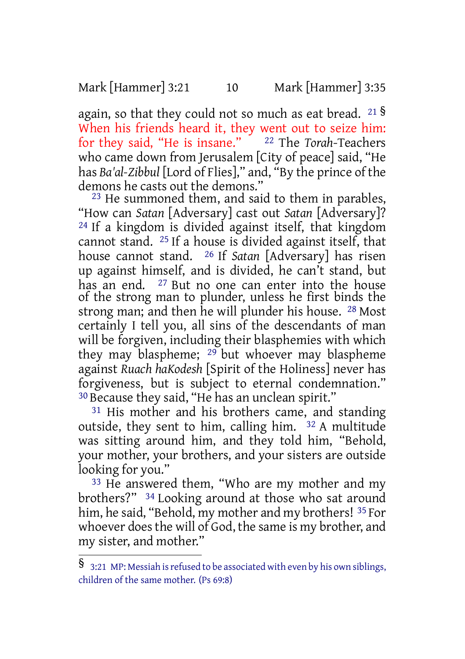Mark [Hammer] 3:21 10 Mark [Hammer] 3:35

again, so that they could not so much as eat bread.  $21\frac{S}{S}$ When his friends heard it, they went out to seize him: for they said, "He is insane." 22 The *Torah*-Teachers who came down from Jerusalem [City of peace] said, "He has *Ba'al-Zibbul* [Lord of Flies]," and, "By the prince of the demons he casts out the demons."

23 He summoned them, and said to them in parables, "How can *Satan* [Adversary] cast out *Satan* [Adversary]? 24 If a kingdom is divided against itself, that kingdom cannot stand. 25 If a house is divided against itself, that house cannot stand. 26 If *Satan* [Adversary] has risen up against himself, and is divided, he can't stand, but has an end. 27 But no one can enter into the house of the strong man to plunder, unless he first binds the strong man; and then he will plunder his house. 28 Most certainly I tell you, all sins of the descendants of man will be forgiven, including their blasphemies with which they may blaspheme; <sup>29</sup> but whoever may blaspheme against *Ruach haKodesh* [Spirit of the Holiness] never has forgiveness, but is subject to eternal condemnation." 30 Because they said, "He has an unclean spirit."

<sup>31</sup> His mother and his brothers came, and standing outside, they sent to him, calling him. 32 A multitude was sitting around him, and they told him, "Behold, your mother, your brothers, and your sisters are outside looking for you."

<sup>33</sup> He answered them, "Who are my mother and my brothers?" 34 Looking around at those who sat around him, he said, "Behold, my mother and my brothers! 35 For whoever does the will of God, the same is my brother, and my sister, and mother."

<sup>§ 3:21</sup> MP: Messiah is refused to be associated with even by his own siblings, children of the same mother. (Ps 69:8)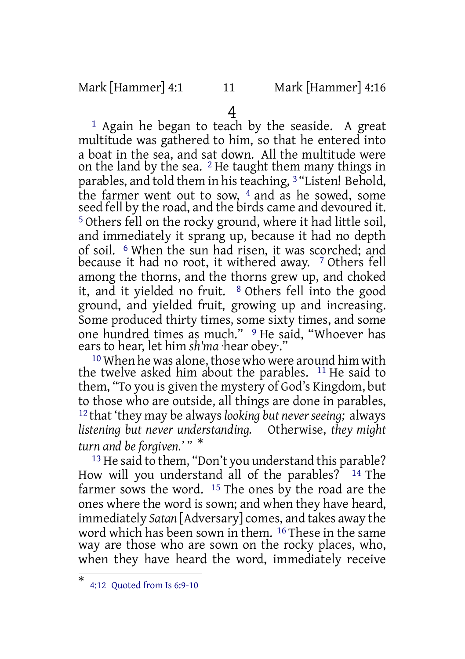### Mark [Hammer] 4:1 11 Mark [Hammer] 4:16

4

<sup>1</sup> Again he began to teach by the seaside. A great multitude was gathered to him, so that he entered into a boat in the sea, and sat down. All the multitude were on the land by the sea. 2 He taught them many things in parables, and told them in his teaching, <sup>3</sup> "Listen! Behold, the farmer went out to sow,  $4$  and as he sowed, some seed fell by the road, and the birds came and devoured it. 5 Others fell on the rocky ground, where it had little soil, and immediately it sprang up, because it had no depth of soil. 6 When the sun had risen, it was scorched; and because it had no root, it withered away. 7 Others fell among the thorns, and the thorns grew up, and choked it, and it yielded no fruit. 8 Others fell into the good ground, and yielded fruit, growing up and increasing. Some produced thirty times, some sixty times, and some one hundred times as much." <sup>9</sup> He said, "Whoever has ears to hear, let him *sh'ma* ·hear obey·."

<sup>10</sup> When he was alone, those who were around him with the twelve asked him about the parables. 11 He said to them, "To you is given the mystery of God's Kingdom, but to those who are outside, all things are done in parables, 12 that 'they may be always*looking but neverseeing;* always *listening but never understanding.* Otherwise, *they might turn and be forgiven.' "* \*

13 He said to them, "Don't you understand this parable? How will you understand all of the parables? 14 The farmer sows the word. 15 The ones by the road are the ones where the word is sown; and when they have heard, immediately *Satan* [Adversary] comes, and takes away the word which has been sown in them. 16 These in the same way are those who are sown on the rocky places, who, when they have heard the word, immediately receive

<sup>\*</sup> 4:12 Quoted from Is 6:9-10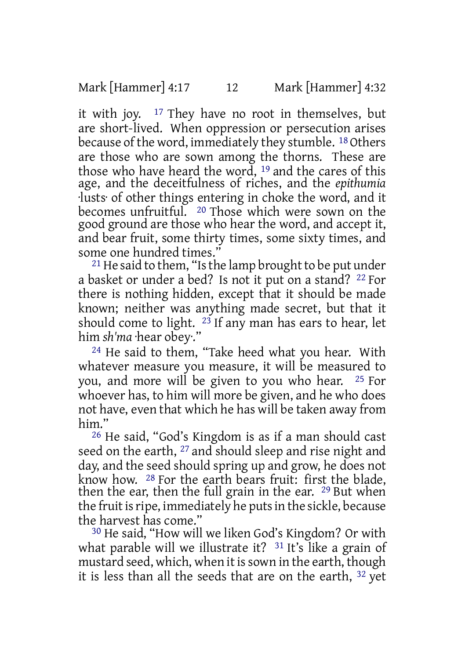it with joy. 17 They have no root in themselves, but are short-lived. When oppression or persecution arises because of the word, immediately they stumble. <sup>18</sup> Others are those who are sown among the thorns. These are those who have heard the word, 19 and the cares of this age, and the deceitfulness of riches, and the *epithumia* ·lusts· of other things entering in choke the word, and it becomes unfruitful. 20 Those which were sown on the good ground are those who hear the word, and accept it, and bear fruit, some thirty times, some sixty times, and some one hundred times."

 $21$  He said to them, "Is the lamp brought to be put under a basket or under a bed? Is not it put on a stand? 22 For there is nothing hidden, except that it should be made known; neither was anything made secret, but that it should come to light.  $23$  If any man has ears to hear, let him *sh'ma* ·hear obey·."

24 He said to them, "Take heed what you hear. With whatever measure you measure, it will be measured to you, and more will be given to you who hear. 25 For whoever has, to him will more be given, and he who does not have, even that which he has will be taken away from him."

26 He said, "God's Kingdom is as if a man should cast seed on the earth, <sup>27</sup> and should sleep and rise night and day, and the seed should spring up and grow, he does not know how. 28 For the earth bears fruit: first the blade, then the ear, then the full grain in the ear. 29 But when the fruit is ripe, immediately he puts in the sickle, because the harvest has come."

30 He said, "How will we liken God's Kingdom? Or with what parable will we illustrate it? <sup>31</sup> It's like a grain of mustard seed, which, when it is sown in the earth, though it is less than all the seeds that are on the earth, 32 yet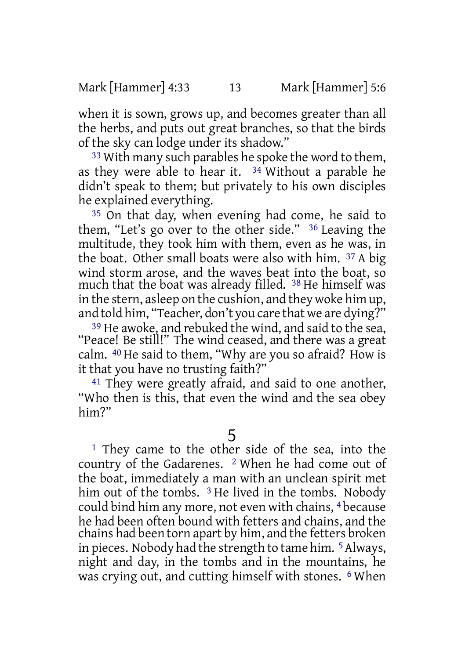when it is sown, grows up, and becomes greater than all the herbs, and puts out great branches, so that the birds of the sky can lodge under its shadow."

33 With many such parables he spoke the word to them, as they were able to hear it.  $34$  Without a parable he didn't speak to them; but privately to his own disciples he explained everything.

35 On that day, when evening had come, he said to them, "Let's go over to the other side." 36 Leaving the multitude, they took him with them, even as he was, in the boat. Other small boats were also with him. 37 A big wind storm arose, and the waves beat into the boat, so much that the boat was already filled. 38 He himself was in the stern, asleep on the cushion, and they woke him up, and told him, "Teacher, don't you care that we are dying?"

39 He awoke, and rebuked the wind, and said to the sea, "Peace! Be still!" The wind ceased, and there was a great calm. 40 He said to them, "Why are you so afraid? How is it that you have no trusting faith?"

41 They were greatly afraid, and said to one another, "Who then is this, that even the wind and the sea obey him?"

5

<sup>1</sup> They came to the other side of the sea, into the country of the Gadarenes. 2 When he had come out of the boat, immediately a man with an unclean spirit met him out of the tombs. <sup>3</sup> He lived in the tombs. Nobody could bind him any more, not even with chains, 4 because he had been often bound with fetters and chains, and the chains had been torn apart by him, and the fetters broken in pieces. Nobody had the strength to tame him. 5Always, night and day, in the tombs and in the mountains, he was crying out, and cutting himself with stones. 6 When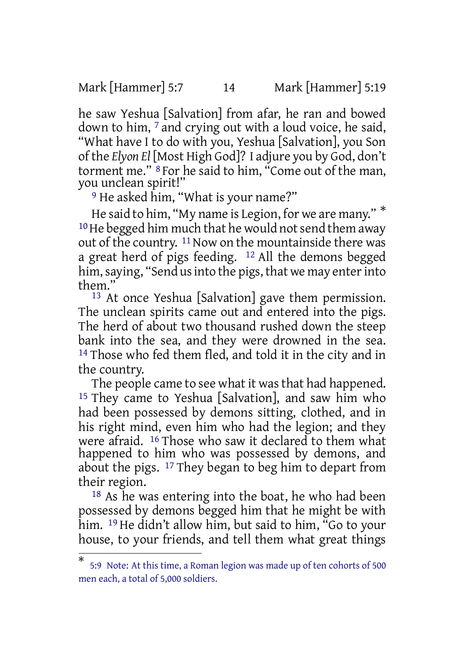Mark [Hammer] 5:7 14 Mark [Hammer] 5:19

he saw Yeshua [Salvation] from afar, he ran and bowed down to him, 7 and crying out with a loud voice, he said, "What have I to do with you, Yeshua [Salvation], you Son of the *Elyon El* [Most High God]? I adjure you by God, don't torment me." 8 For he said to him, "Come out of the man, you unclean spirit!"

<sup>9</sup> He asked him, "What is your name?"

He said to him, "My name is Legion, for we are many." \*  $10$  He begged him much that he would not send them away out of the country. <sup>11</sup> Now on the mountainside there was a great herd of pigs feeding. 12 All the demons begged him, saying, "Send us into the pigs, that we may enter into them."

<sup>13</sup> At once Yeshua [Salvation] gave them permission. The unclean spirits came out and entered into the pigs. The herd of about two thousand rushed down the steep bank into the sea, and they were drowned in the sea. <sup>14</sup> Those who fed them fled, and told it in the city and in the country.

The people came to see what it was that had happened. 15 They came to Yeshua [Salvation], and saw him who had been possessed by demons sitting, clothed, and in his right mind, even him who had the legion; and they were afraid. 16 Those who saw it declared to them what happened to him who was possessed by demons, and about the pigs. 17 They began to beg him to depart from their region.

18 As he was entering into the boat, he who had been possessed by demons begged him that he might be with him. 19 He didn't allow him, but said to him, "Go to your house, to your friends, and tell them what great things

<sup>\*</sup> 5:9 Note: At this time, a Roman legion was made up of ten cohorts of 500 men each, a total of 5,000 soldiers.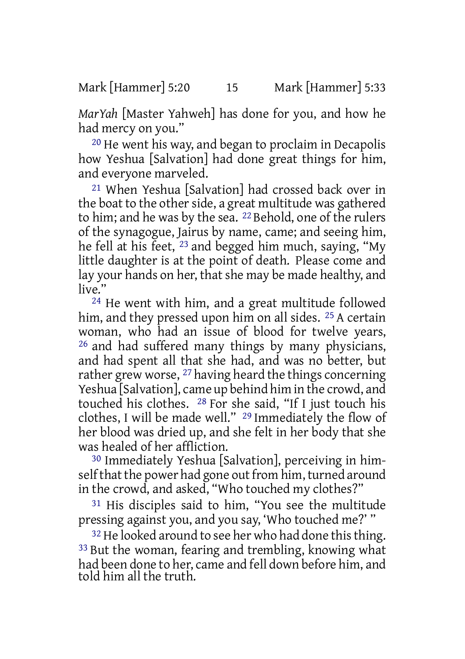*MarYah* [Master Yahweh] has done for you, and how he had mercy on you."

20 He went his way, and began to proclaim in Decapolis how Yeshua [Salvation] had done great things for him, and everyone marveled.

21 When Yeshua [Salvation] had crossed back over in the boat to the other side, a great multitude was gathered to him; and he was by the sea. 22 Behold, one of the rulers of the synagogue, Jairus by name, came; and seeing him, he fell at his feet, 23 and begged him much, saying, "My little daughter is at the point of death. Please come and lay your hands on her, that she may be made healthy, and live."

24 He went with him, and a great multitude followed him, and they pressed upon him on all sides. <sup>25</sup> A certain woman, who had an issue of blood for twelve years, 26 and had suffered many things by many physicians, and had spent all that she had, and was no better, but rather grew worse, <sup>27</sup> having heard the things concerning Yeshua [Salvation], came up behind him in the crowd, and touched his clothes. 28 For she said, "If I just touch his clothes, I will be made well." 29 Immediately the flow of her blood was dried up, and she felt in her body that she was healed of her affliction.

30 Immediately Yeshua [Salvation], perceiving in himself that the power had gone out from him, turned around in the crowd, and asked, "Who touched my clothes?"

31 His disciples said to him, "You see the multitude pressing against you, and you say, 'Who touched me?' "

<sup>32</sup> He looked around to see her who had done this thing. 33 But the woman, fearing and trembling, knowing what had been done to her, came and fell down before him, and told him all the truth.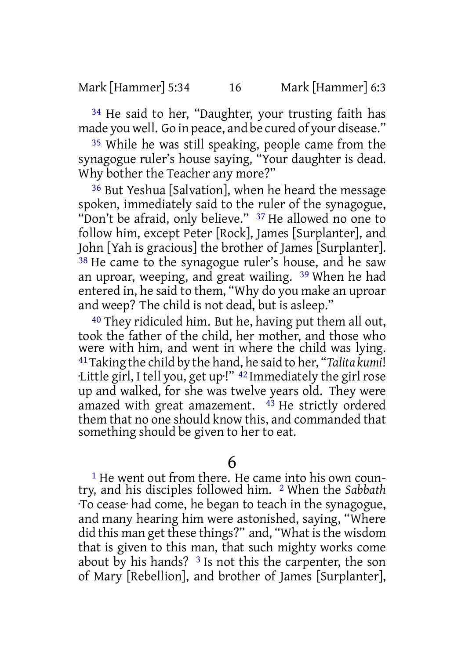34 He said to her, "Daughter, your trusting faith has made you well. Go in peace, and be cured of your disease."

35 While he was still speaking, people came from the synagogue ruler's house saying, "Your daughter is dead. Why bother the Teacher any more?"

36 But Yeshua [Salvation], when he heard the message spoken, immediately said to the ruler of the synagogue, "Don't be afraid, only believe." <sup>37</sup> He allowed no one to follow him, except Peter [Rock], James [Surplanter], and John [Yah is gracious] the brother of James [Surplanter].  $38$  He came to the synagogue ruler's house, and he saw an uproar, weeping, and great wailing. 39 When he had entered in, he said to them, "Why do you make an uproar and weep? The child is not dead, but is asleep."

40 They ridiculed him. But he, having put them all out, took the father of the child, her mother, and those who were with him, and went in where the child was lying. 41Taking the child by the hand, he said to her, "*Talita kumi*! ·Little girl, I tell you, get up·!" 42 Immediately the girl rose up and walked, for she was twelve years old. They were amazed with great amazement. 43 He strictly ordered them that no one should know this, and commanded that something should be given to her to eat.

6

<sup>1</sup> He went out from there. He came into his own country, and his disciples followed him. 2 When the *Sabbath* ·To cease· had come, he began to teach in the synagogue, and many hearing him were astonished, saying, "Where did this man get these things?" and, "What is the wisdom that is given to this man, that such mighty works come about by his hands?  $3$  Is not this the carpenter, the son of Mary [Rebellion], and brother of James [Surplanter],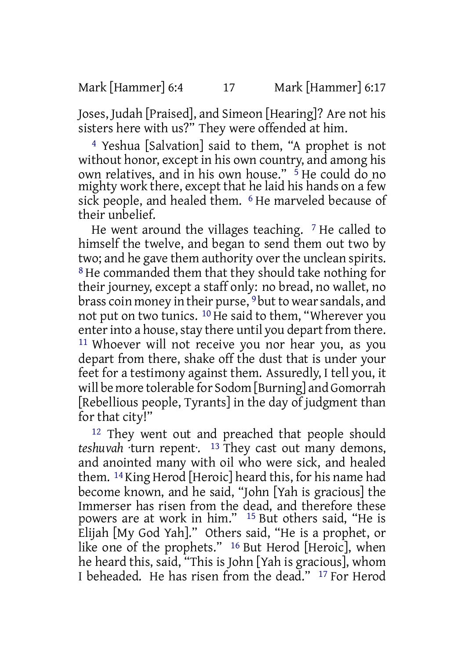Joses, Judah [Praised], and Simeon [Hearing]? Are not his sisters here with us?" They were offended at him.

4 Yeshua [Salvation] said to them, "A prophet is not without honor, except in his own country, and among his own relatives, and in his own house." 5 He could do no mighty work there, except that he laid his hands on a few sick people, and healed them. <sup>6</sup> He marveled because of their unbelief.

He went around the villages teaching.  $7$  He called to himself the twelve, and began to send them out two by two; and he gave them authority over the unclean spirits. 8 He commanded them that they should take nothing for their journey, except a staff only: no bread, no wallet, no brass coin money in their purse, <sup>9</sup> but to wear sandals, and not put on two tunics. 10 He said to them, "Wherever you enter into a house, stay there until you depart from there. 11 Whoever will not receive you nor hear you, as you depart from there, shake off the dust that is under your feet for a testimony against them. Assuredly, I tell you, it will be more tolerable for Sodom [Burning] and Gomorrah [Rebellious people, Tyrants] in the day of judgment than for that city!"

12 They went out and preached that people should *teshuvah* ·turn repent·. 13 They cast out many demons, and anointed many with oil who were sick, and healed them. 14 King Herod [Heroic] heard this, for his name had become known, and he said, "John [Yah is gracious] the Immerser has risen from the dead, and therefore these powers are at work in him." 15 But others said, "He is Elijah [My God Yah]." Others said, "He is a prophet, or like one of the prophets." <sup>16</sup> But Herod [Heroic], when he heard this, said, "This is John [Yah is gracious], whom I beheaded. He has risen from the dead." 17 For Herod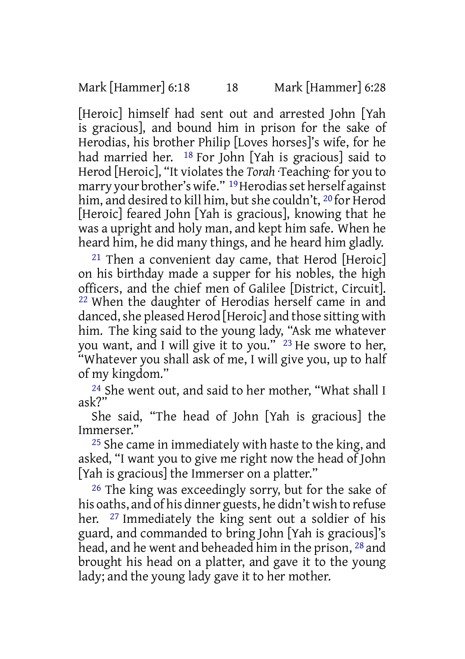[Heroic] himself had sent out and arrested John [Yah is gracious], and bound him in prison for the sake of Herodias, his brother Philip [Loves horses]'s wife, for he had married her. <sup>18</sup> For John [Yah is gracious] said to Herod [Heroic], "It violates the *Torah* ·Teaching· for you to marry your brother's wife." <sup>19</sup> Herodias set herself against him, and desired to kill him, but she couldn't, <sup>20</sup> for Herod [Heroic] feared John [Yah is gracious], knowing that he was a upright and holy man, and kept him safe. When he heard him, he did many things, and he heard him gladly.

 $21$  Then a convenient day came, that Herod [Heroic] on his birthday made a supper for his nobles, the high officers, and the chief men of Galilee [District, Circuit]. 22 When the daughter of Herodias herself came in and danced, she pleased Herod [Heroic] and those sitting with him. The king said to the young lady, "Ask me whatever you want, and I will give it to you." 23 He swore to her, "Whatever you shall ask of me, I will give you, up to half of my kingdom."

24 She went out, and said to her mother, "What shall I ask?"

She said, "The head of John [Yah is gracious] the Immerser."

<sup>25</sup> She came in immediately with haste to the king, and asked, "I want you to give me right now the head of John [Yah is gracious] the Immerser on a platter."

26 The king was exceedingly sorry, but for the sake of his oaths, and of his dinner guests, he didn't wish to refuse her. <sup>27</sup> Immediately the king sent out a soldier of his guard, and commanded to bring John [Yah is gracious]'s head, and he went and beheaded him in the prison, <sup>28</sup> and brought his head on a platter, and gave it to the young lady; and the young lady gave it to her mother.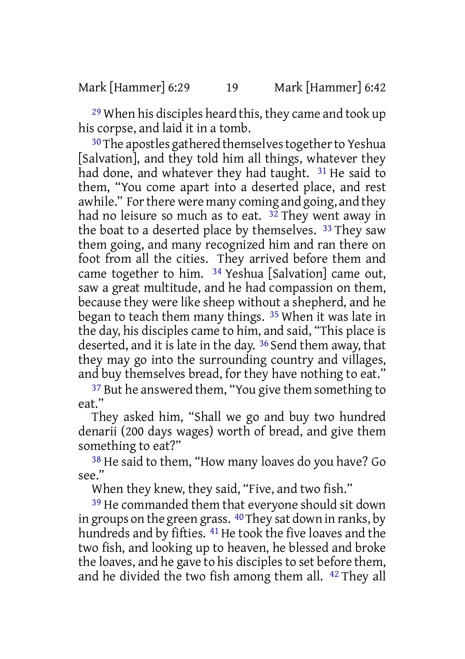29 When his disciples heard this, they came and took up his corpse, and laid it in a tomb.

<sup>30</sup> The apostles gathered themselves together to Yeshua [Salvation], and they told him all things, whatever they had done, and whatever they had taught. 31 He said to them, "You come apart into a deserted place, and rest awhile." For there were many coming and going, and they had no leisure so much as to eat.  $3\overline{2}$  They went away in the boat to a deserted place by themselves. 33 They saw them going, and many recognized him and ran there on foot from all the cities. They arrived before them and came together to him. 34 Yeshua [Salvation] came out, saw a great multitude, and he had compassion on them, because they were like sheep without a shepherd, and he began to teach them many things. 35 When it was late in the day, his disciples came to him, and said, "This place is deserted, and it is late in the day. 36 Send them away, that they may go into the surrounding country and villages, and buy themselves bread, for they have nothing to eat."

37 But he answered them, "You give them something to eat."

They asked him, "Shall we go and buy two hundred denarii (200 days wages) worth of bread, and give them something to eat?"

38 He said to them, "How many loaves do you have? Go see."

When they knew, they said, "Five, and two fish."

39 He commanded them that everyone should sit down in groups on the green grass. 40They sat down in ranks, by hundreds and by fifties. <sup>41</sup> He took the five loaves and the two fish, and looking up to heaven, he blessed and broke the loaves, and he gave to his disciples to set before them, and he divided the two fish among them all. 42 They all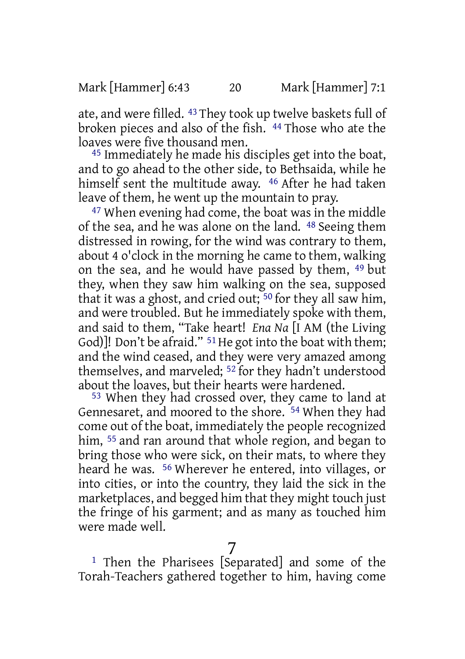ate, and were filled. 43 They took up twelve baskets full of broken pieces and also of the fish. 44 Those who ate the loaves were five thousand men.

45 Immediately he made his disciples get into the boat, and to go ahead to the other side, to Bethsaida, while he himself sent the multitude away. <sup>46</sup> After he had taken leave of them, he went up the mountain to pray.

47 When evening had come, the boat was in the middle of the sea, and he was alone on the land. 48 Seeing them distressed in rowing, for the wind was contrary to them, about 4 o'clock in the morning he came to them, walking on the sea, and he would have passed by them, 49 but they, when they saw him walking on the sea, supposed that it was a ghost, and cried out; 50 for they all saw him, and were troubled. But he immediately spoke with them, and said to them, "Take heart! *Ena Na* [I AM (the Living God)]! Don't be afraid."  $51$  He got into the boat with them; and the wind ceased, and they were very amazed among themselves, and marveled; 52 for they hadn't understood about the loaves, but their hearts were hardened.

53 When they had crossed over, they came to land at Gennesaret, and moored to the shore. 54 When they had come out of the boat, immediately the people recognized him, <sup>55</sup> and ran around that whole region, and began to bring those who were sick, on their mats, to where they heard he was. 56 Wherever he entered, into villages, or into cities, or into the country, they laid the sick in the marketplaces, and begged him that they might touch just the fringe of his garment; and as many as touched him were made well.

7

1 Then the Pharisees [Separated] and some of the Torah-Teachers gathered together to him, having come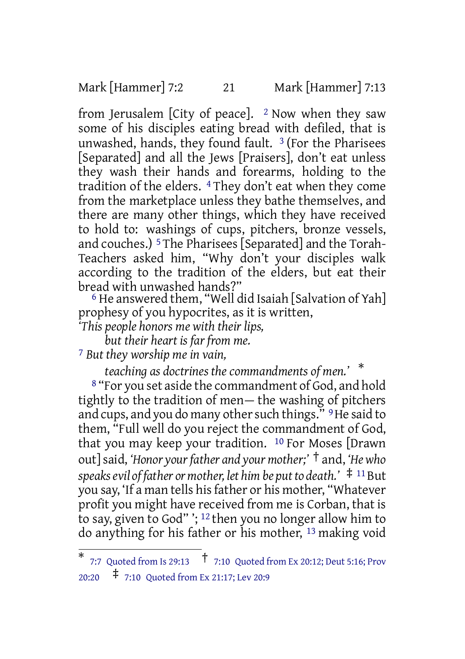Mark [Hammer] 7:2 21 Mark [Hammer] 7:13

from Jerusalem [City of peace].  $2$  Now when they saw some of his disciples eating bread with defiled, that is unwashed, hands, they found fault.  $3$  (For the Pharisees [Separated] and all the Jews [Praisers], don't eat unless they wash their hands and forearms, holding to the tradition of the elders. 4 They don't eat when they come from the marketplace unless they bathe themselves, and there are many other things, which they have received to hold to: washings of cups, pitchers, bronze vessels, and couches.) 5 The Pharisees [Separated] and the Torah-Teachers asked him, "Why don't your disciples walk according to the tradition of the elders, but eat their bread with unwashed hands?"

 $6$  He answered them, "Well did Isaiah [Salvation of Yah] prophesy of you hypocrites, as it is written,

*'This people honors me with their lips,*

*but their heart is far from me.*

7 *But they worship me in vain,*

*teaching as doctrines the commandments of men.'* \*

8 "For you set aside the commandment of God, and hold tightly to the tradition of men— the washing of pitchers and cups, and you do many other such things." <sup>9</sup> He said to them, "Full well do you reject the commandment of God, that you may keep your tradition. 10 For Moses [Drawn out]said, *'Honor yourfather and your mother;'* † and, *'Hewho speaksevil of father or mother, let him be putto death.'* ‡ <sup>11</sup>But you say, 'If a man tells hisfather or his mother, "Whatever profit you might have received from me is Corban, that is to say, given to God" '; 12 then you no longer allow him to do anything for his father or his mother, 13 making void

<sup>\*</sup> 7:7 Quoted from Is 29:13 † 7:10 Quoted from Ex 20:12; Deut 5:16; Prov 20:20 ‡ 7:10 Quoted from Ex 21:17; Lev 20:9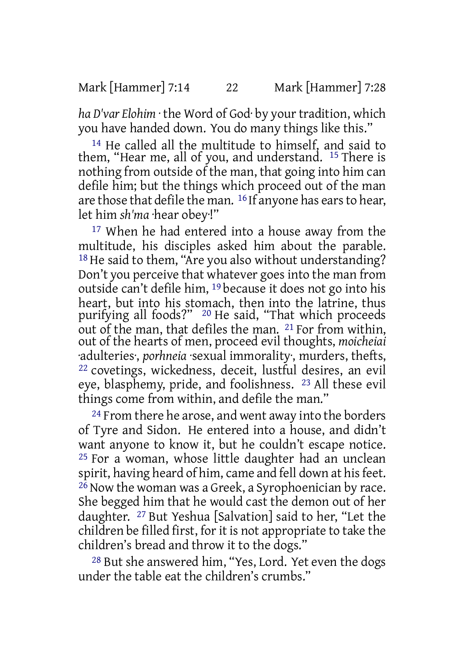*ha D'var Elohim* · the Word of God· by your tradition, which you have handed down. You do many things like this."

14 He called all the multitude to himself, and said to them, "Hear me, all of you, and understand. 15 There is nothing from outside of the man, that going into him can defile him; but the things which proceed out of the man are those that defile the man. 16 If anyone has earsto hear, let him *sh'ma* ·hear obey·!"

<sup>17</sup> When he had entered into a house away from the multitude, his disciples asked him about the parable. 18 He said to them, "Are you also without understanding? Don't you perceive that whatever goes into the man from outside can't defile him, 19 because it does not go into his heart, but into his stomach, then into the latrine, thus purifying all foods?" 20 He said, "That which proceeds out of the man, that defiles the man. 21 For from within, out of the hearts of men, proceed evil thoughts, *moicheiai* ·adulteries·, *porhneia* ·sexual immorality·, murders, thefts, 22 covetings, wickedness, deceit, lustful desires, an evil eye, blasphemy, pride, and foolishness. 23 All these evil things come from within, and defile the man."

<sup>24</sup> From there he arose, and went away into the borders of Tyre and Sidon. He entered into a house, and didn't want anyone to know it, but he couldn't escape notice. 25 For a woman, whose little daughter had an unclean spirit, having heard of him, came and fell down at his feet.  $^{26}$  Now the woman was a Greek, a Syrophoenician by race. She begged him that he would cast the demon out of her daughter. 27 But Yeshua [Salvation] said to her, "Let the children be filled first, for it is not appropriate to take the children's bread and throw it to the dogs."

28 But she answered him, "Yes, Lord. Yet even the dogs under the table eat the children's crumbs."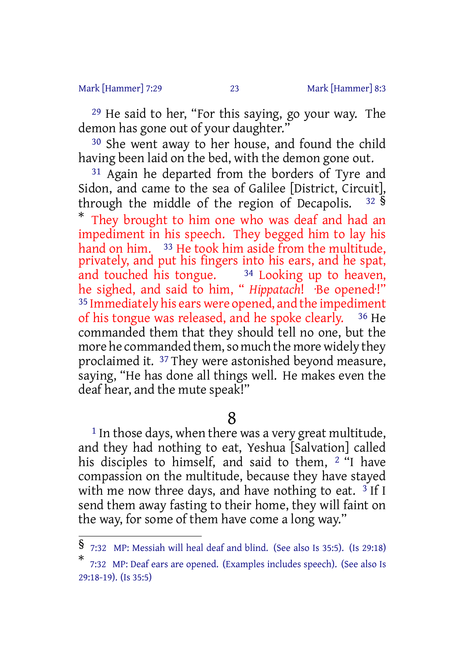#### Mark [Hammer] 7:29 23 Mark [Hammer] 8:3

29 He said to her, "For this saying, go your way. The demon has gone out of your daughter.'

30 She went away to her house, and found the child having been laid on the bed, with the demon gone out.

31 Again he departed from the borders of Tyre and Sidon, and came to the sea of Galilee [District, Circuit], through the middle of the region of Decapolis.  $32 \text{ }\frac{\text{S}}{\text{S}}$ \* They brought to him one who was deaf and had an impediment in his speech. They begged him to lay his hand on him. <sup>33</sup> He took him aside from the multitude, privately, and put his fingers into his ears, and he spat, and touched his tongue.  $34$  Looking up to heaven, he sighed, and said to him, " *Hippatach*! ·Be opened·!" 35 Immediately his ears were opened, and the impediment of his tongue was released, and he spoke clearly. 36 He commanded them that they should tell no one, but the more he commanded them, so much the more widely they proclaimed it. 37 They were astonished beyond measure, saying, "He has done all things well. He makes even the deaf hear, and the mute speak!"

### 8

<sup>1</sup> In those days, when there was a very great multitude, and they had nothing to eat, Yeshua [Salvation] called his disciples to himself, and said to them, 2 "I have compassion on the multitude, because they have stayed with me now three days, and have nothing to eat.  $3$  If I send them away fasting to their home, they will faint on the way, for some of them have come a long way."

<sup>§</sup> 7:32 MP: Messiah will heal deaf and blind. (See also Is 35:5). (Is 29:18)

<sup>\*</sup> 7:32 MP: Deaf ears are opened. (Examples includes speech). (See also Is 29:18-19). (Is 35:5)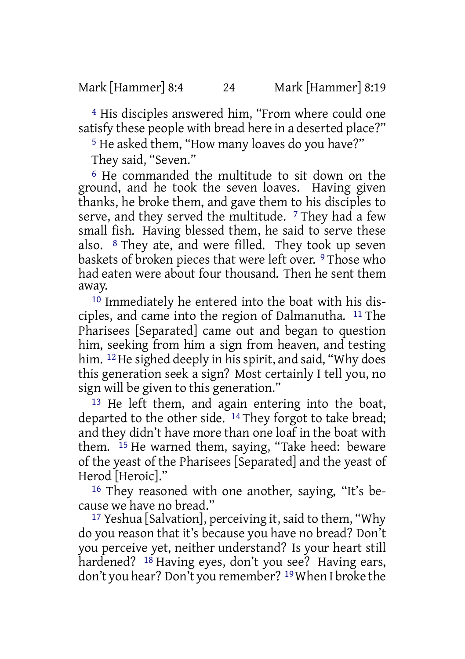4 His disciples answered him, "From where could one satisfy these people with bread here in a deserted place?"

5 He asked them, "How many loaves do you have?"

They said, "Seven."

6 He commanded the multitude to sit down on the ground, and he took the seven loaves. Having given thanks, he broke them, and gave them to his disciples to serve, and they served the multitude.  $7$  They had a few small fish. Having blessed them, he said to serve these also. 8 They ate, and were filled. They took up seven baskets of broken pieces that were left over. 9 Those who had eaten were about four thousand. Then he sent them away.

10 Immediately he entered into the boat with his disciples, and came into the region of Dalmanutha. 11 The Pharisees [Separated] came out and began to question him, seeking from him a sign from heaven, and testing him. <sup>12</sup> He sighed deeply in his spirit, and said, "Why does this generation seek a sign? Most certainly I tell you, no sign will be given to this generation."

13 He left them, and again entering into the boat, departed to the other side. <sup>14</sup> They forgot to take bread; and they didn't have more than one loaf in the boat with them.  $15$  He warned them, saying, "Take heed: beware of the yeast of the Pharisees [Separated] and the yeast of Herod [Heroic]."

16 They reasoned with one another, saying, "It's because we have no bread."

17 Yeshua [Salvation], perceiving it, said to them, "Why do you reason that it's because you have no bread? Don't you perceive yet, neither understand? Is your heart still hardened? <sup>18</sup> Having eyes, don't you see? Having ears, don't you hear? Don't you remember? 19When I broke the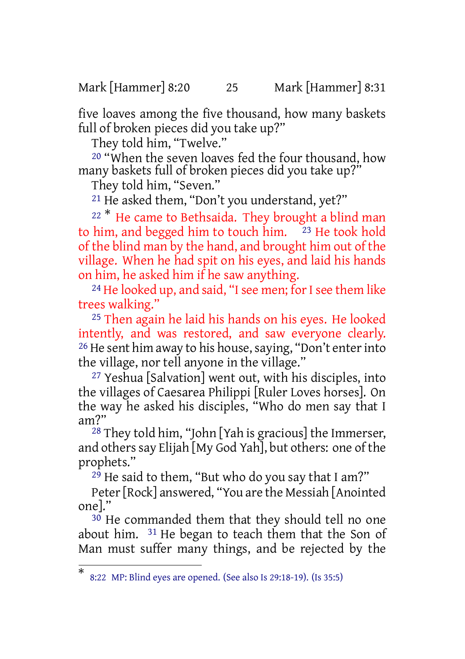Mark [Hammer] 8:20 25 Mark [Hammer] 8:31

five loaves among the five thousand, how many baskets full of broken pieces did you take up?"

They told him, "Twelve."

20 "When the seven loaves fed the four thousand, how many baskets full of broken pieces did you take up?"

They told him, "Seven."

21 He asked them, "Don't you understand, yet?"

 $22$ <sup>\*</sup> He came to Bethsaida. They brought a blind man to him, and begged him to touch him.  $23$  He took hold of the blind man by the hand, and brought him out of the village. When he had spit on his eyes, and laid his hands on him, he asked him if he saw anything.

<sup>24</sup> He looked up, and said, "I see men; for I see them like trees walking."

25 Then again he laid his hands on his eyes. He looked intently, and was restored, and saw everyone clearly. <sup>26</sup> He sent him away to his house, saying, "Don't enter into the village, nor tell anyone in the village."

27 Yeshua [Salvation] went out, with his disciples, into the villages of Caesarea Philippi [Ruler Loves horses]. On the way he asked his disciples, "Who do men say that I am?"

 $28$  They told him, "John [Yah is gracious] the Immerser, and others say Elijah [My God Yah], but others: one of the prophets."

29 He said to them, "But who do you say that I am?"

Peter[Rock] answered, "You are the Messiah [Anointed one]."

30 He commanded them that they should tell no one about him. 31 He began to teach them that the Son of Man must suffer many things, and be rejected by the

<sup>\*</sup> 8:22 MP: Blind eyes are opened. (See also Is 29:18-19). (Is 35:5)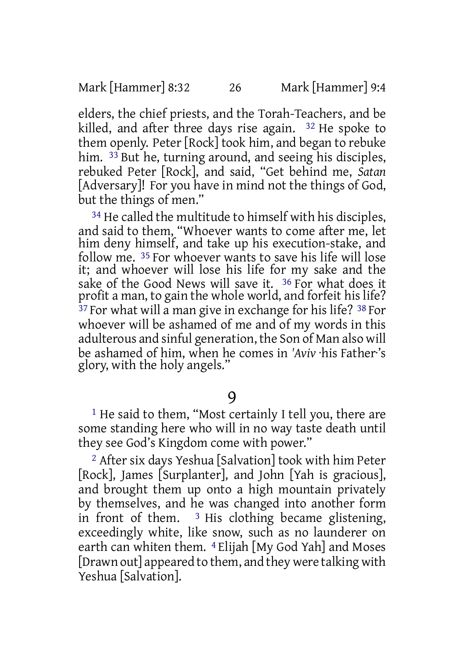elders, the chief priests, and the Torah-Teachers, and be killed, and after three days rise again. 32 He spoke to them openly. Peter [Rock] took him, and began to rebuke him. <sup>33</sup> But he, turning around, and seeing his disciples, rebuked Peter [Rock], and said, "Get behind me, *Satan* [Adversary]! For you have in mind not the things of God, but the things of men."

34 He called the multitude to himself with his disciples, and said to them, "Whoever wants to come after me, let him deny himself, and take up his execution-stake, and follow me. 35 For whoever wants to save his life will lose it; and whoever will lose his life for my sake and the sake of the Good News will save it. <sup>36</sup> For what does it profit a man, to gain the whole world, and forfeit his life? <sup>37</sup> For what will a man give in exchange for his life? <sup>38</sup> For whoever will be ashamed of me and of my words in this adulterous and sinful generation, the Son of Man also will be ashamed of him, when he comes in *'Aviv* ·his Father·'s glory, with the holy angels."

9

1 He said to them, "Most certainly I tell you, there are some standing here who will in no way taste death until they see God's Kingdom come with power."

2 After six days Yeshua [Salvation] took with him Peter [Rock], James [Surplanter], and John [Yah is gracious], and brought them up onto a high mountain privately by themselves, and he was changed into another form in front of them.  $3$  His clothing became glistening, exceedingly white, like snow, such as no launderer on earth can whiten them. 4 Elijah [My God Yah] and Moses [Drawn out] appeared to them, and they were talking with Yeshua [Salvation].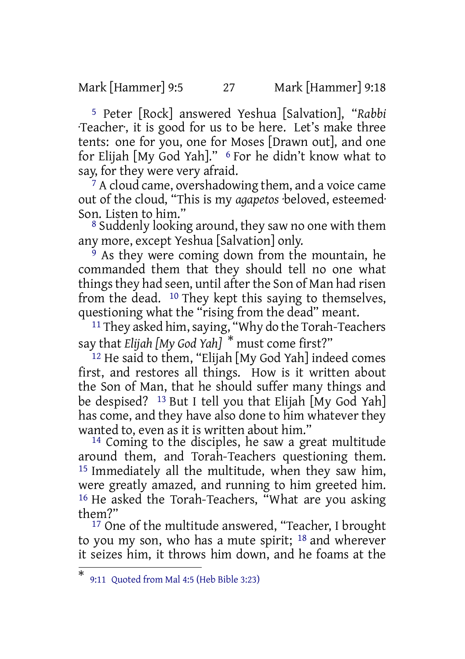Mark [Hammer] 9:5 27 Mark [Hammer] 9:18

5 Peter [Rock] answered Yeshua [Salvation], "*Rabbi* ·Teacher·, it is good for us to be here. Let's make three tents: one for you, one for Moses [Drawn out], and one for Elijah [My God Yah]." <sup>6</sup> For he didn't know what to say, for they were very afraid.

<sup>7</sup> A cloud came, overshadowing them, and a voice came out of the cloud, "This is my *agapetos* ·beloved, esteemed· Son. Listen to him."

8 Suddenly looking around, they saw no one with them any more, except Yeshua [Salvation] only.

<sup>9</sup> As they were coming down from the mountain, he commanded them that they should tell no one what things they had seen, until after the Son of Man had risen from the dead. 10 They kept this saying to themselves, questioning what the "rising from the dead" meant.

<sup>11</sup> They asked him, saying, "Why do the Torah-Teachers" say that *Elijah [My God Yah]* \* must come first?"

12 He said to them, "Elijah [My God Yah] indeed comes first, and restores all things. How is it written about the Son of Man, that he should suffer many things and be despised? 13 But I tell you that Elijah [My God Yah] has come, and they have also done to him whatever they wanted to, even as it is written about him."

14 Coming to the disciples, he saw a great multitude around them, and Torah-Teachers questioning them. 15 Immediately all the multitude, when they saw him, were greatly amazed, and running to him greeted him. 16 He asked the Torah-Teachers, "What are you asking them?"

17 One of the multitude answered, "Teacher, I brought to you my son, who has a mute spirit; 18 and wherever it seizes him, it throws him down, and he foams at the

<sup>\*</sup> 9:11 Quoted from Mal 4:5 (Heb Bible 3:23)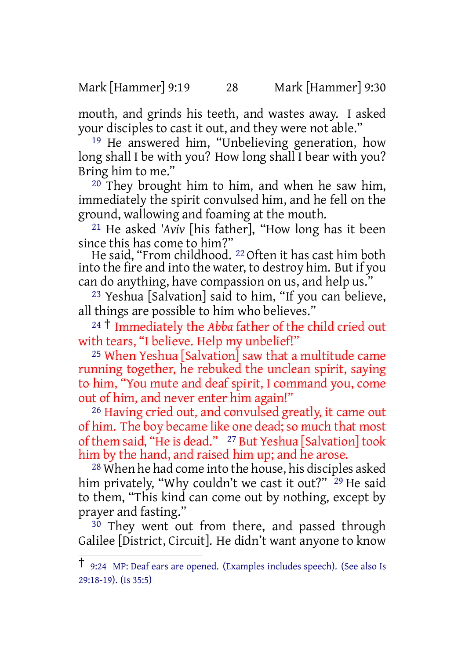Mark [Hammer] 9:19 28 Mark [Hammer] 9:30

mouth, and grinds his teeth, and wastes away. I asked your disciples to cast it out, and they were not able."

19 He answered him, "Unbelieving generation, how long shall I be with you? How long shall I bear with you? Bring him to me."

 $20$  They brought him to him, and when he saw him, immediately the spirit convulsed him, and he fell on the ground, wallowing and foaming at the mouth.

21 He asked *'Aviv* [his father], "How long has it been since this has come to him?"

He said, "From childhood. 22 Often it has cast him both into the fire and into the water, to destroy him. But if you can do anything, have compassion on us, and help us."

23 Yeshua [Salvation] said to him, "If you can believe, all things are possible to him who believes."

<sup>24</sup> † Immediately the *Abba* father of the child cried out with tears, "I believe. Help my unbelief!"

25 When Yeshua [Salvation] saw that a multitude came running together, he rebuked the unclean spirit, saying to him, "You mute and deaf spirit, I command you, come out of him, and never enter him again!"

26 Having cried out, and convulsed greatly, it came out of him. The boy became like one dead; so much that most of them said, "He is dead." <sup>27</sup> But Yeshua [Salvation] took him by the hand, and raised him up; and he arose.

28 When he had come into the house, his disciples asked him privately, "Why couldn't we cast it out?" <sup>29</sup> He said to them, "This kind can come out by nothing, except by prayer and fasting."

 $30$  They went out from there, and passed through Galilee [District, Circuit]. He didn't want anyone to know

<sup>†</sup> 9:24 MP: Deaf ears are opened. (Examples includes speech). (See also Is 29:18-19). (Is 35:5)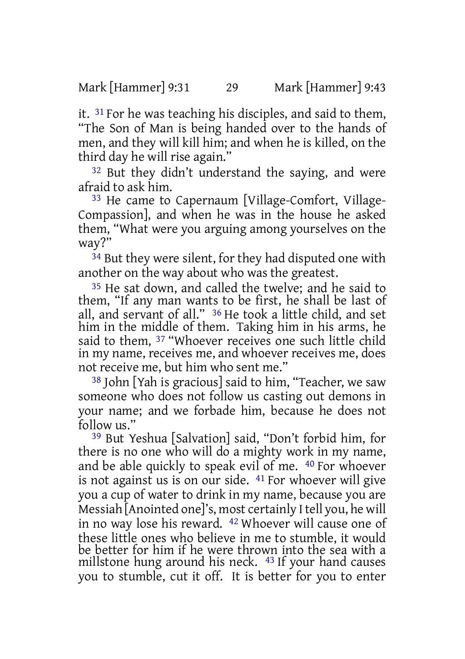it. 31 For he was teaching his disciples, and said to them, "The Son of Man is being handed over to the hands of men, and they will kill him; and when he is killed, on the third day he will rise again."

32 But they didn't understand the saying, and were afraid to ask him.

33 He came to Capernaum [Village-Comfort, Village-Compassion], and when he was in the house he asked them, "What were you arguing among yourselves on the way?"

<sup>34</sup> But they were silent, for they had disputed one with another on the way about who was the greatest.

35 He sat down, and called the twelve; and he said to them, "If any man wants to be first, he shall be last of all, and servant of all." 36 He took a little child, and set him in the middle of them. Taking him in his arms, he said to them, 37 "Whoever receives one such little child in my name, receives me, and whoever receives me, does not receive me, but him who sent me."

38 John [Yah is gracious] said to him, "Teacher, we saw someone who does not follow us casting out demons in your name; and we forbade him, because he does not follow us."

39 But Yeshua [Salvation] said, "Don't forbid him, for there is no one who will do a mighty work in my name, and be able quickly to speak evil of me. 40 For whoever is not against us is on our side. 41 For whoever will give you a cup of water to drink in my name, because you are Messiah [Anointed one]'s, most certainly I tell you, he will in no way lose his reward. 42 Whoever will cause one of these little ones who believe in me to stumble, it would be better for him if he were thrown into the sea with a millstone hung around his neck. 43 If your hand causes you to stumble, cut it off. It is better for you to enter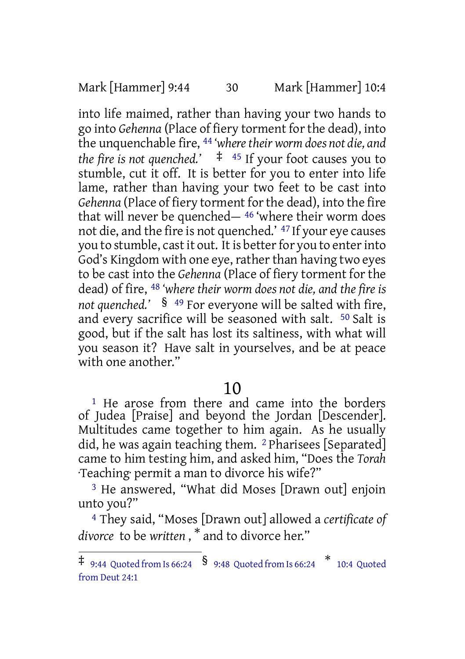Mark [Hammer] 9:44 30 Mark [Hammer] 10:4

into life maimed, rather than having your two hands to go into *Gehenna* (Place of fiery torment forthe dead), into the unquenchable fire, 44 *'wheretheir worm does not die, and the fire is not quenched.'*  $\pm$  <sup>45</sup> If your foot causes you to stumble, cut it off. It is better for you to enter into life lame, rather than having your two feet to be cast into Gehenna (Place of fiery torment for the dead), into the fire that will never be quenched— 46 'where their worm does not die, and the fire is not quenched.' 47 If your eye causes you to stumble, cast it out. It is better for you to enter into God's Kingdom with one eye, rather than having two eyes to be cast into the *Gehenna* (Place of fiery torment for the dead) of fire, 48 *'where their worm does not die, and the fire is not quenched.'* § <sup>49</sup> For everyone will be salted with fire, and every sacrifice will be seasoned with salt. 50 Salt is good, but if the salt has lost its saltiness, with what will you season it? Have salt in yourselves, and be at peace with one another."

# 10

<sup>1</sup> He arose from there and came into the borders of Judea [Praise] and beyond the Jordan [Descender]. Multitudes came together to him again. As he usually did, he was again teaching them. 2 Pharisees [Separated] came to him testing him, and asked him, "Does the *Torah* ·Teaching· permit a man to divorce his wife?"

3 He answered, "What did Moses [Drawn out] enjoin unto you?"

4 They said, "Moses [Drawn out] allowed a *certificate of divorce* to be *written* , \* and to divorce her."

 $\ddagger$  9:44 Quoted from Is 66:24  $\,$   $\frac{\$}{\$}$  9:48 Quoted from Is 66:24  $\,$   $\frac{\$}{\$}$  10:4 Quoted from Deut 24:1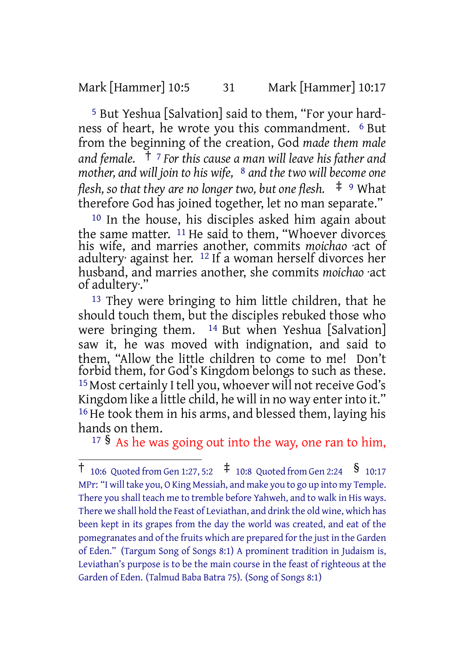Mark [Hammer] 10:5 31 Mark [Hammer] 10:17

5 But Yeshua [Salvation] said to them, "For your hardness of heart, he wrote you this commandment. 6 But from the beginning of the creation, God *made them male and female.* † <sup>7</sup> *For this cause a man will leave his father and mother, and will join to his wife,* 8 *and the two will become one flesh, so that they are no longer two, but one flesh.* ‡ <sup>9</sup> What therefore God has joined together, let no man separate."

10 In the house, his disciples asked him again about the same matter. <sup>11</sup> He said to them, "Whoever divorces his wife, and marries another, commits *moichao* ·act of adultery· against her. 12 If a woman herself divorces her husband, and marries another, she commits *moichao* ·act of adultery:

13 They were bringing to him little children, that he should touch them, but the disciples rebuked those who were bringing them. <sup>14</sup> But when Yeshua [Salvation] saw it, he was moved with indignation, and said to them, "Allow the little children to come to me! Don't forbid them, for God's Kingdom belongs to such as these. <sup>15</sup> Most certainly I tell you, whoever will not receive God's Kingdom like a little child, he will in no way enter into it." 16 He took them in his arms, and blessed them, laying his hands on them.

<sup>17</sup> § As he was going out into the way, one ran to him,

<sup>†</sup> 10:6 Quoted from Gen 1:27, 5:2 ‡ 10:8 Quoted from Gen 2:24 § 10:17 MPr: "I will take you, O King Messiah, and make you to go up into my Temple. There you shall teach me to tremble before Yahweh, and to walk in His ways. There we shall hold the Feast of Leviathan, and drink the old wine, which has been kept in its grapes from the day the world was created, and eat of the pomegranates and of the fruits which are prepared forthe just in the Garden of Eden." (Targum Song of Songs 8:1) A prominent tradition in Judaism is, Leviathan's purpose is to be the main course in the feast of righteous at the Garden of Eden. (Talmud Baba Batra 75). (Song of Songs 8:1)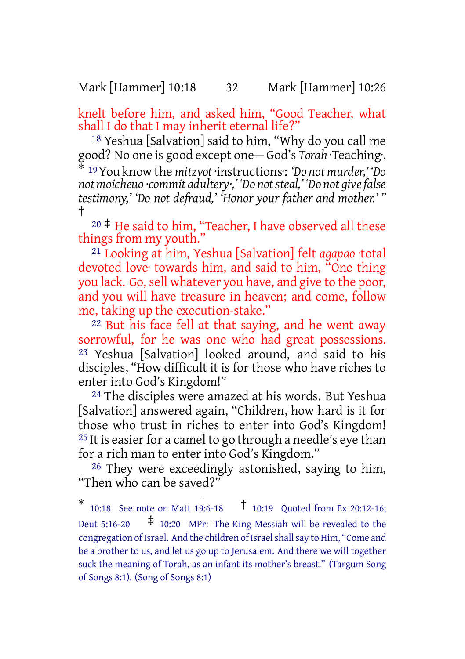### Mark [Hammer] 10:18 32 Mark [Hammer] 10:26

knelt before him, and asked him, "Good Teacher, what shall I do that I may inherit eternal life?"

18 Yeshua [Salvation] said to him, "Why do you call me good? No one is good except one— God's *Torah* ·Teaching·. \* <sup>19</sup>You know the *mitzvot* ·instructions·: *'Do not murder,' 'Do*

*not moicheuo ·commit adultery·,' 'Do notsteal,' 'Do not givefalse testimony,' 'Do not defraud,' 'Honor your father and mother.' "* †

 $20 \div$  He said to him, "Teacher, I have observed all these things from my youth."

21 Looking at him, Yeshua [Salvation] felt *agapao* ·total devoted love· towards him, and said to him, "One thing you lack. Go,sell whatever you have, and give to the poor, and you will have treasure in heaven; and come, follow me, taking up the execution-stake."

22 But his face fell at that saying, and he went away sorrowful, for he was one who had great possessions. 23 Yeshua [Salvation] looked around, and said to his disciples, "How difficult it is for those who have riches to enter into God's Kingdom!"

24 The disciples were amazed at his words. But Yeshua [Salvation] answered again, "Children, how hard is it for those who trust in riches to enter into God's Kingdom!  $25$  It is easier for a camel to go through a needle's eye than for a rich man to enter into God's Kingdom."

26 They were exceedingly astonished, saying to him, "Then who can be saved?"

<sup>\*</sup> 10:18 See note on Matt 19:6-18 † 10:19 Quoted from Ex 20:12-16; Deut 5:16-20  $\uparrow$  10:20 MPr: The King Messiah will be revealed to the congregation of Israel. And the children of Israel shall say to Him, "Come and be a brother to us, and let us go up to Jerusalem. And there we will together suck the meaning of Torah, as an infant its mother's breast." (Targum Song of Songs 8:1). (Song of Songs 8:1)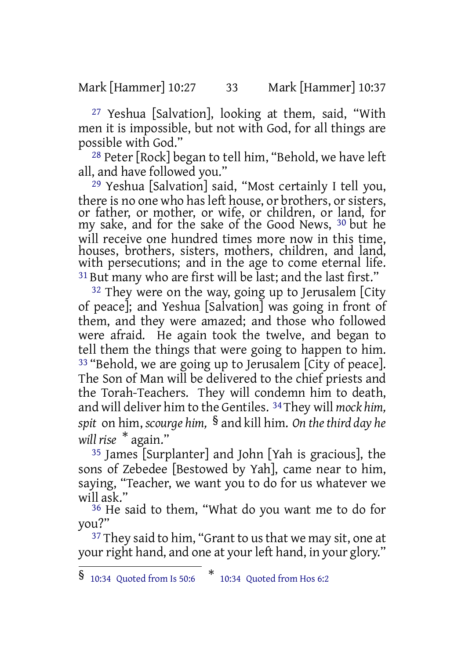Mark [Hammer] 10:27 33 Mark [Hammer] 10:37

27 Yeshua [Salvation], looking at them, said, "With men it is impossible, but not with God, for all things are possible with God."

28 Peter [Rock] began to tell him, "Behold, we have left all, and have followed you."

29 Yeshua [Salvation] said, "Most certainly I tell you, there is no one who has left house, or brothers, or sisters, or father, or mother, or wife, or children, or land, for my sake, and for the sake of the Good News, 30 but he will receive one hundred times more now in this time, houses, brothers, sisters, mothers, children, and land, with persecutions; and in the age to come eternal life. <sup>31</sup> But many who are first will be last; and the last first."

<sup>32</sup> They were on the way, going up to Jerusalem [City of peace]; and Yeshua [Salvation] was going in front of them, and they were amazed; and those who followed were afraid. He again took the twelve, and began to tell them the things that were going to happen to him. <sup>33</sup> "Behold, we are going up to Jerusalem [City of peace]. The Son of Man will be delivered to the chief priests and the Torah-Teachers. They will condemn him to death, and will deliver him to the Gentiles. 34They will *mock him, spit* on him, *scourge him,* § and kill him. *On thethird day he will rise* \* again."

35 James [Surplanter] and John [Yah is gracious], the sons of Zebedee [Bestowed by Yah], came near to him, saying, "Teacher, we want you to do for us whatever we will ask."

36 He said to them, "What do you want me to do for you?"

<sup>37</sup> They said to him, "Grant to us that we may sit, one at your right hand, and one at your left hand, in your glory."

<sup>§</sup> 10:34 Quoted from Is 50:6 \* 10:34 Quoted from Hos 6:2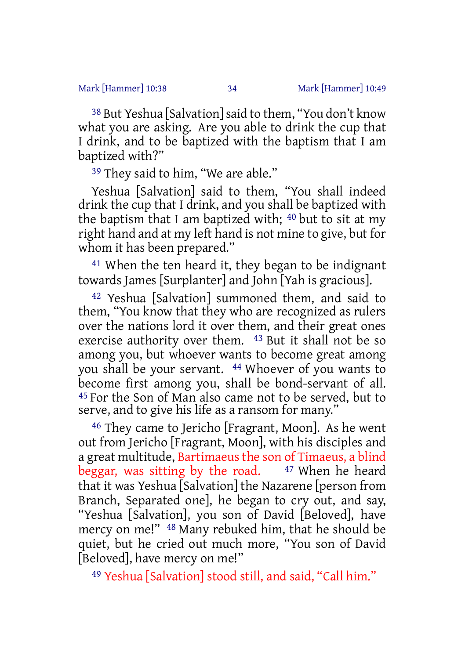38 But Yeshua [Salvation]said to them, "You don't know what you are asking. Are you able to drink the cup that I drink, and to be baptized with the baptism that I am baptized with?"

<sup>39</sup> They said to him, "We are able."

Yeshua [Salvation] said to them, "You shall indeed drink the cup that I drink, and you shall be baptized with the baptism that I am baptized with; 40 but to sit at my right hand and at my left hand is not mine to give, but for whom it has been prepared."

41 When the ten heard it, they began to be indignant towards James [Surplanter] and John [Yah is gracious].

42 Yeshua [Salvation] summoned them, and said to them, "You know that they who are recognized as rulers over the nations lord it over them, and their great ones exercise authority over them. 43 But it shall not be so among you, but whoever wants to become great among you shall be your servant. 44 Whoever of you wants to become first among you, shall be bond-servant of all. 45 For the Son of Man also came not to be served, but to serve, and to give his life as a ransom for many."

46 They came to Jericho [Fragrant, Moon]. As he went out from Jericho [Fragrant, Moon], with his disciples and a great multitude, Bartimaeus the son of Timaeus, a blind beggar, was sitting by the road.  $47$  When he heard that it was Yeshua [Salvation] the Nazarene [person from Branch, Separated one], he began to cry out, and say, "Yeshua [Salvation], you son of David [Beloved], have mercy on me!" 48 Many rebuked him, that he should be quiet, but he cried out much more, "You son of David [Beloved], have mercy on me!"

49 Yeshua [Salvation] stood still, and said, "Call him."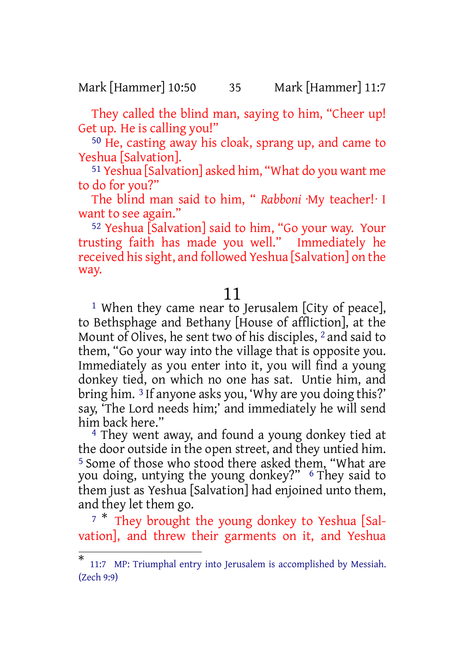Mark [Hammer] 10:50 35 Mark [Hammer] 11:7

They called the blind man, saying to him, "Cheer up! Get up. He is calling you!"

50 He, casting away his cloak, sprang up, and came to Yeshua [Salvation].

51 Yeshua [Salvation] asked him, "What do you want me to do for you?"

The blind man said to him, " *Rabboni* ·My teacher!· I want to see again."

52 Yeshua [Salvation] said to him, "Go your way. Your trusting faith has made you well." Immediately he received hissight, and followed Yeshua [Salvation] on the way.

### 11

<sup>1</sup> When they came near to Jerusalem [City of peace], to Bethsphage and Bethany [House of affliction], at the Mount of Olives, he sent two of his disciples, 2 and said to them, "Go your way into the village that is opposite you. Immediately as you enter into it, you will find a young donkey tied, on which no one has sat. Untie him, and bring him. 3 If anyone asks you, 'Why are you doing this?' say, 'The Lord needs him;' and immediately he will send him back here."

4 They went away, and found a young donkey tied at the door outside in the open street, and they untied him. <sup>5</sup> Some of those who stood there asked them, "What are you doing, untying the young donkey?" 6 They said to them just as Yeshua [Salvation] had enjoined unto them, and they let them go.

<sup>7</sup> \* They brought the young donkey to Yeshua [Salvation], and threw their garments on it, and Yeshua

<sup>\*</sup> 11:7 MP: Triumphal entry into Jerusalem is accomplished by Messiah. (Zech 9:9)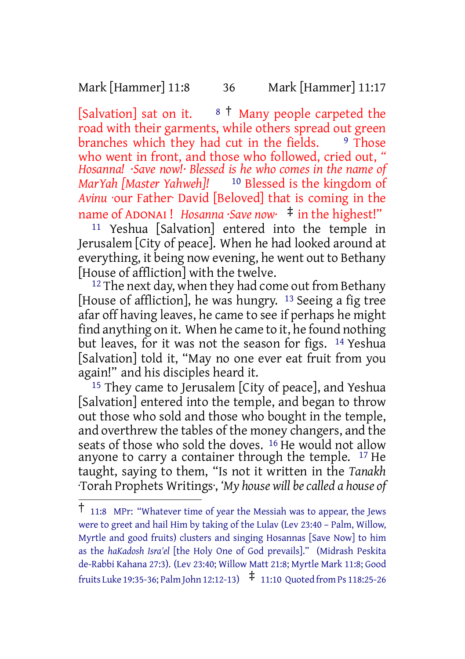Mark [Hammer] 11:8 36 Mark [Hammer] 11:17

[Salvation] sat on it.  $8 \t{1}$  Many people carpeted the road with their garments, while others spread out green branches which they had cut in the fields. <sup>9</sup> Those who went in front, and those who followed, cried out, *" Hosanna! ·Save now!· Blessed is he who comes in the name of MarYah [Master Yahweh]!* 10 Blessed is the kingdom of *Avinu* ·our Father· David [Beloved] that is coming in the name of ADONAI ! *Hosanna ·Save now·* ‡ in the highest!"

11 Yeshua [Salvation] entered into the temple in Jerusalem [City of peace]. When he had looked around at everything, it being now evening, he went out to Bethany [House of affliction] with the twelve.

 $12$  The next day, when they had come out from Bethany [House of affliction], he was hungry.  $13$  Seeing a fig tree afar off having leaves, he came to see if perhaps he might find anything on it. When he came to it, he found nothing but leaves, for it was not the season for figs. 14 Yeshua [Salvation] told it, "May no one ever eat fruit from you again!" and his disciples heard it.

<sup>15</sup> They came to Jerusalem [City of peace], and Yeshua [Salvation] entered into the temple, and began to throw out those who sold and those who bought in the temple, and overthrew the tables of the money changers, and the seats of those who sold the doves. <sup>16</sup> He would not allow anyone to carry a container through the temple. <sup>17</sup> He taught, saying to them, "Is not it written in the *Tanakh* ·Torah Prophets Writings·, *'My house will becalled a house of*

<sup>†</sup> 11:8 MPr: "Whatever time of year the Messiah was to appear, the Jews were to greet and hail Him by taking of the Lulav (Lev 23:40 – Palm, Willow, Myrtle and good fruits) clusters and singing Hosannas [Save Now] to him as the *haKadosh Isra'el* [the Holy One of God prevails]." (Midrash Peskita de-Rabbi Kahana 27:3). (Lev 23:40; Willow Matt 21:8; Myrtle Mark 11:8; Good fruits Luke 19:35-36; Palm John 12:12-13)  $\pm$  11:10 Quoted from Ps 118:25-26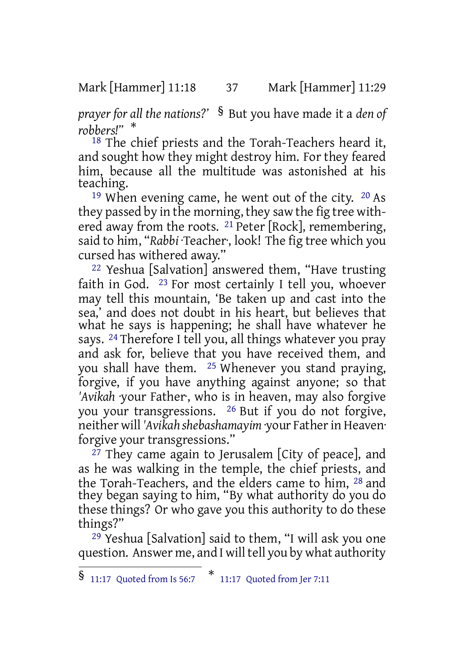Mark [Hammer] 11:18 37 Mark [Hammer] 11:29

*prayer for all the nations?'* § But you have made it a *den of robbers!"* \*

18 The chief priests and the Torah-Teachers heard it, and sought how they might destroy him. For they feared him, because all the multitude was astonished at his teaching.

19 When evening came, he went out of the city. 20 As they passed by in the morning, they saw the fig tree withered away from the roots. <sup>21</sup> Peter [Rock], remembering, said to him, "*Rabbi* ·Teacher·, look! The fig tree which you cursed has withered away."

22 Yeshua [Salvation] answered them, "Have trusting faith in God. 23 For most certainly I tell you, whoever may tell this mountain, 'Be taken up and cast into the sea,' and does not doubt in his heart, but believes that what he says is happening; he shall have whatever he says. 24 Therefore I tell you, all things whatever you pray and ask for, believe that you have received them, and you shall have them. 25 Whenever you stand praying, forgive, if you have anything against anyone; so that *'Avikah* ·your Father·, who is in heaven, may also forgive you your transgressions. 26 But if you do not forgive, neither will *'Avikah shebashamayim* ·your Fatherin Heaven· forgive your transgressions."

<sup>27</sup> They came again to Jerusalem [City of peace], and as he was walking in the temple, the chief priests, and the Torah-Teachers, and the elders came to him, 28 and they began saying to him, "By what authority do you do these things? Or who gave you this authority to do these things?"

29 Yeshua [Salvation] said to them, "I will ask you one question. Answer me, and I will tell you by what authority

<sup>§</sup> 11:17 Quoted from Is 56:7 \* 11:17 Quoted from Jer 7:11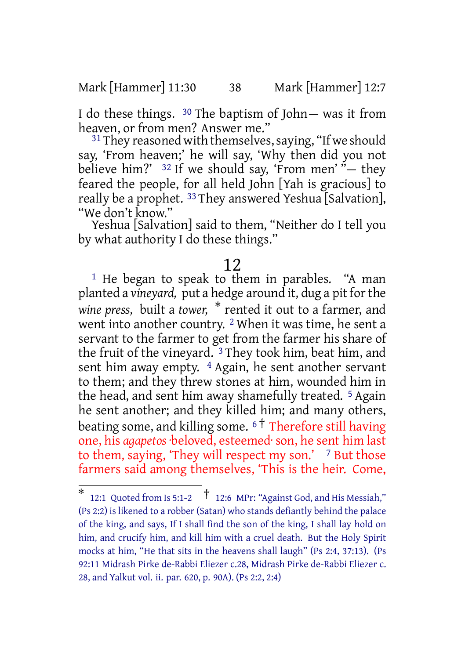Mark [Hammer] 11:30 38 Mark [Hammer] 12:7

I do these things. 30 The baptism of John— was it from heaven, or from men? Answer me."

 $31$  They reasoned with themselves, saying, "If we should say, 'From heaven;' he will say, 'Why then did you not believe him?'  $32$  If we should say, 'From men'  $\ddot{v}$  they feared the people, for all held John [Yah is gracious] to really be a prophet. 33 They answered Yeshua [Salvation], "We don't know."

Yeshua [Salvation] said to them, "Neither do I tell you by what authority I do these things."

### 12

<sup>1</sup> He began to speak to them in parables. "A man planted a *vineyard,* put a hedge around it, dug a pit forthe *wine press,* built a *tower,* \* rented it out to a farmer, and went into another country. 2 When it was time, he sent a servant to the farmer to get from the farmer his share of the fruit of the vineyard. 3 They took him, beat him, and sent him away empty. <sup>4</sup> Again, he sent another servant to them; and they threw stones at him, wounded him in the head, and sent him away shamefully treated. <sup>5</sup> Again he sent another; and they killed him; and many others, beating some, and killing some. <sup>6</sup> † Therefore still having one, his *agapetos* ·beloved, esteemed· son, he sent him last to them, saying, 'They will respect my son.'  $\frac{7}{7}$  But those farmers said among themselves, 'This is the heir. Come,

<sup>\*</sup> 12:1 Quoted from Is 5:1-2  $\uparrow$  12:6 MPr: "Against God, and His Messiah," (Ps 2:2) is likened to a robber (Satan) who stands defiantly behind the palace of the king, and says, If I shall find the son of the king, I shall lay hold on him, and crucify him, and kill him with a cruel death. But the Holy Spirit mocks at him, "He that sits in the heavens shall laugh" (Ps 2:4, 37:13). (Ps 92:11 Midrash Pirke de-Rabbi Eliezer c.28, Midrash Pirke de-Rabbi Eliezer c. 28, and Yalkut vol. ii. par. 620, p. 90A). (Ps 2:2, 2:4)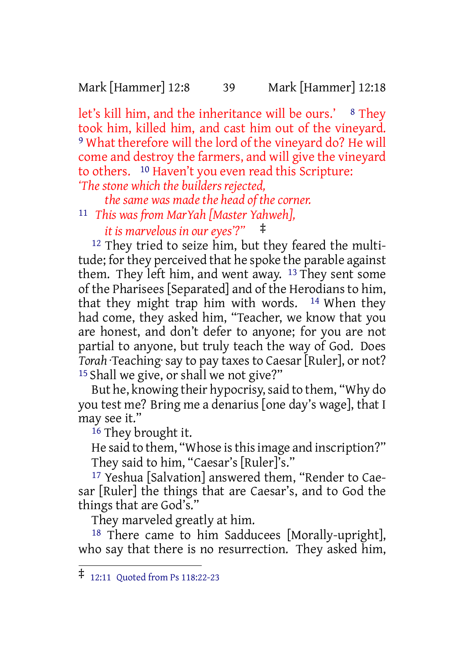Mark [Hammer] 12:8 39 Mark [Hammer] 12:18

let's kill him, and the inheritance will be ours.' <sup>8</sup> They took him, killed him, and cast him out of the vineyard. 9 What therefore will the lord of the vineyard do? He will come and destroy the farmers, and will give the vineyard to others. 10 Haven't you even read this Scripture: *'The stone which the builders rejected,*

*the same was made the head of the corner.*

11 *This was from MarYah [Master Yahweh],*

*it is marvelous in our eyes'?"* ‡

12 They tried to seize him, but they feared the multitude; for they perceived that he spoke the parable against them. They left him, and went away. 13 They sent some of the Pharisees [Separated] and of the Herodians to him, that they might trap him with words.  $14$  When they had come, they asked him, "Teacher, we know that you are honest, and don't defer to anyone; for you are not partial to anyone, but truly teach the way of God. Does *Torah* ·Teaching·say to pay taxesto Caesar[Ruler], or not? 15 Shall we give, or shall we not give?"

But he, knowing their hypocrisy, said to them, "Why do you test me? Bring me a denarius [one day's wage], that I may see it."

16 They brought it.

He said to them, "Whose is this image and inscription?" They said to him, "Caesar's [Ruler]'s."

17 Yeshua [Salvation] answered them, "Render to Caesar [Ruler] the things that are Caesar's, and to God the things that are God's."

They marveled greatly at him.

18 There came to him Sadducees [Morally-upright], who say that there is no resurrection. They asked him,

<sup>‡</sup> 12:11 Quoted from Ps 118:22-23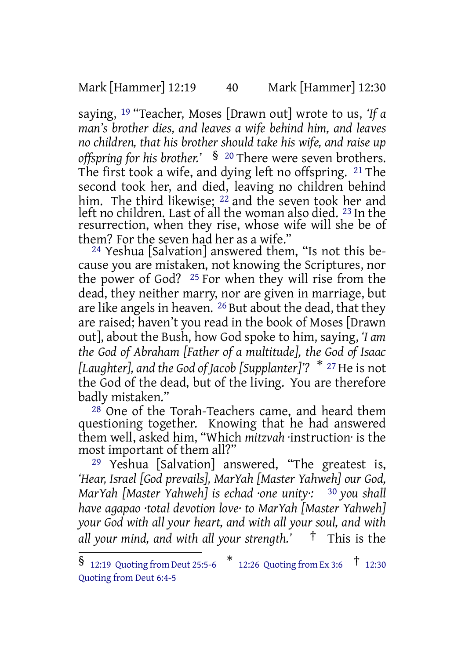Mark [Hammer] 12:19 40 Mark [Hammer] 12:30

saying, 19 "Teacher, Moses [Drawn out] wrote to us, *'If a man's brother dies, and leaves a wife behind him, and leaves no children, that his brother should take his wife, and raise up offspring for his brother.'* § <sup>20</sup> There were seven brothers. The first took a wife, and dying left no offspring. 21 The second took her, and died, leaving no children behind him. The third likewise; <sup>22</sup> and the seven took her and left no children. Last of all the woman also died. <sup>23</sup> In the resurrection, when they rise, whose wife will she be of them? For the seven had her as a wife."

24 Yeshua [Salvation] answered them, "Is not this because you are mistaken, not knowing the Scriptures, nor the power of God? 25 For when they will rise from the dead, they neither marry, nor are given in marriage, but are like angels in heaven. 26 But about the dead, that they are raised; haven't you read in the book of Moses [Drawn out], about the Bush, how God spoke to him, saying, *'I am the God of Abraham [Father of a multitude], the God of Isaac [Laughter], and the God of Jacob [Supplanter]'?* \* <sup>27</sup> He is not the God of the dead, but of the living. You are therefore badly mistaken."

 $28$  One of the Torah-Teachers came, and heard them questioning together. Knowing that he had answered them well, asked him, "Which *mitzvah* ·instruction· is the most important of them all?"

29 Yeshua [Salvation] answered, "The greatest is, *'Hear, Israel [God prevails], MarYah [Master Yahweh] our God, MarYah [Master Yahweh] is echad ·one unity·:* 30 *you shall have agapao ·total devotion love· to MarYah [Master Yahweh] your God with all your heart, and with all your soul, and with all your mind, and with all your strength.'* † This is the

 $\frac{12:19}{2:12}$  Quoting from Deut 25:5-6  $\frac{*}{12:26}$  Quoting from Ex 3:6  $\frac{+}{12:30}$ Quoting from Deut 6:4-5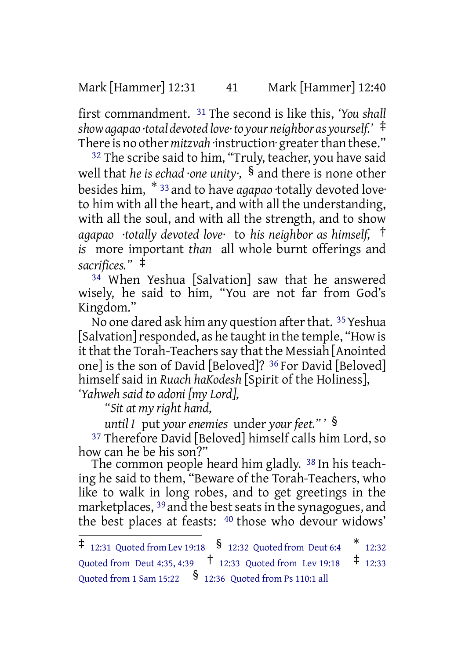Mark [Hammer] 12:31 41 Mark [Hammer] 12:40

first commandment. 31 The second is like this, *'You shall showagapao ·total devoted love·to your neighbor as yourself.'* ‡ There is no other *mitzvah* instruction· greater than these."

<sup>32</sup> The scribe said to him, "Truly, teacher, you have said well that *he is echad ·one unity·,* § and there is none other besides him, \* <sup>33</sup> and to have *agapao* ·totally devoted love· to him with all the heart, and with all the understanding, with all the soul, and with all the strength, and to show *agapao ·totally devoted love·* to *his neighbor as himself,* † *is* more important *than* all whole burnt offerings and *sacrifices."* ‡

34 When Yeshua [Salvation] saw that he answered wisely, he said to him, "You are not far from God's Kingdom."

No one dared ask him any question after that. 35 Yeshua [Salvation] responded, as he taught in the temple, "How is it that the Torah-Teachers say that the Messiah [Anointed one] is the son of David [Beloved]? 36 For David [Beloved] himself said in *Ruach haKodesh* [Spirit of the Holiness], *'Yahweh said to adoni [my Lord],*

*"Sit at my right hand,*

*until I* put *your enemies* under *your feet." '* §

37 Therefore David [Beloved] himself calls him Lord, so how can he be his son?"

The common people heard him gladly. <sup>38</sup> In his teaching he said to them, "Beware of the Torah-Teachers, who like to walk in long robes, and to get greetings in the marketplaces, <sup>39</sup> and the best seats in the synagogues, and the best places at feasts: 40 those who devour widows'

 $\ddagger$  12:31 Quoted from Lev 19:18  $\,$   $\frac{\$}$  12:32 Quoted from Deut 6:4  $\,$   $\,$   $\,$   $\,$  12:32 Quoted from Deut 4:35, 4:39 † 12:33 Quoted from Lev 19:18 ‡ 12:33 Quoted from 1 Sam 15:22  $\frac{\$}$  12:36 Quoted from Ps 110:1 all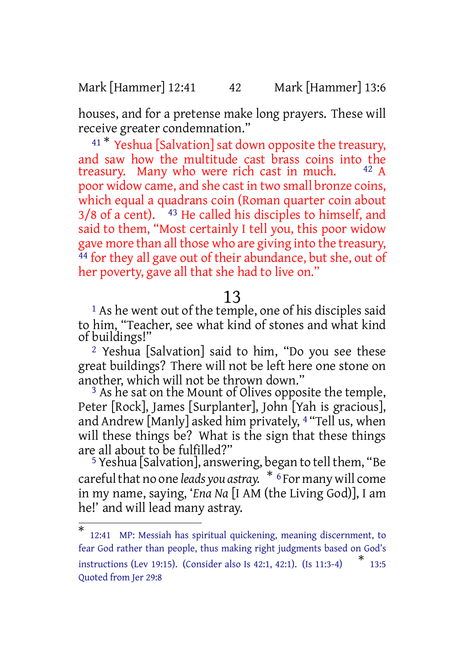Mark [Hammer] 12:41 42 Mark [Hammer] 13:6

houses, and for a pretense make long prayers. These will receive greater condemnation."

<sup>41 \*</sup> Yeshua [Salvation] sat down opposite the treasury, and saw how the multitude cast brass coins into the treasury. Many who were rich cast in much. poor widow came, and she cast in two small bronze coins, which equal a quadrans coin (Roman quarter coin about  $3/8$  of a cent).  $\hat{ }$  <sup>43</sup> He called his disciples to himself, and said to them, "Most certainly I tell you, this poor widow gave more than all those who are giving into the treasury, <sup>44</sup> for they all gave out of their abundance, but she, out of her poverty, gave all that she had to live on."

### 13

<sup>1</sup> As he went out of the temple, one of his disciples said to him, "Teacher, see what kind of stones and what kind of buildings!"

2 Yeshua [Salvation] said to him, "Do you see these great buildings? There will not be left here one stone on another, which will not be thrown down."

 $3$  As he sat on the Mount of Olives opposite the temple, Peter [Rock], James [Surplanter], John [Yah is gracious], and Andrew [Manly] asked him privately, 4 "Tell us, when will these things be? What is the sign that these things are all about to be fulfilled?"

<sup>5</sup> Yeshua [Salvation], answering, began to tell them, "Be carefulthat no one *leads you astray.* \* <sup>6</sup>For many will come in my name, saying, '*Ena Na* [I AM (the Living God)], I am he!' and will lead many astray.

<sup>\*</sup> 12:41 MP: Messiah has spiritual quickening, meaning discernment, to fear God rather than people, thus making right judgments based on God's instructions (Lev 19:15). (Consider also Is 42:1, 42:1). (Is 11:3-4) \* 13:5 Quoted from Jer 29:8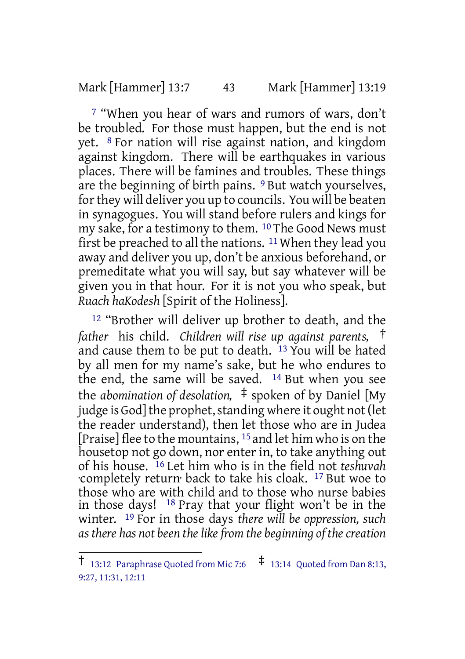#### Mark [Hammer] 13:7 43 Mark [Hammer] 13:19

7 "When you hear of wars and rumors of wars, don't be troubled. For those must happen, but the end is not yet. 8 For nation will rise against nation, and kingdom against kingdom. There will be earthquakes in various places. There will be famines and troubles. These things are the beginning of birth pains. <sup>9</sup> But watch yourselves, for they will deliver you up to councils. You will be beaten in synagogues. You will stand before rulers and kings for my sake, for a testimony to them. 10 The Good News must first be preached to all the nations.  $11$  When they lead you away and deliver you up, don't be anxious beforehand, or premeditate what you will say, but say whatever will be given you in that hour. For it is not you who speak, but *Ruach haKodesh* [Spirit of the Holiness].

12 "Brother will deliver up brother to death, and the *father* his child. *Children will rise up against parents,* † and cause them to be put to death. 13 You will be hated by all men for my name's sake, but he who endures to the end, the same will be saved. 14 But when you see the *abomination of desolation,* ‡ spoken of by Daniel [My judge is God] the prophet, standing where it ought not (let the reader understand), then let those who are in Judea [Praise] flee to the mountains, 15 and let him who is on the housetop not go down, nor enter in, to take anything out of his house. 16 Let him who is in the field not *teshuvah* ·completely return· back to take his cloak. 17 But woe to those who are with child and to those who nurse babies in those days! 18 Pray that your flight won't be in the winter. 19 For in those days *there will be oppression, such as there has not been thelikefrom the beginning of thecreation*

<sup>&</sup>lt;sup>†</sup> 13:12 Paraphrase Quoted from Mic 7:6  $\pm$  13:14 Quoted from Dan 8:13, 9:27, 11:31, 12:11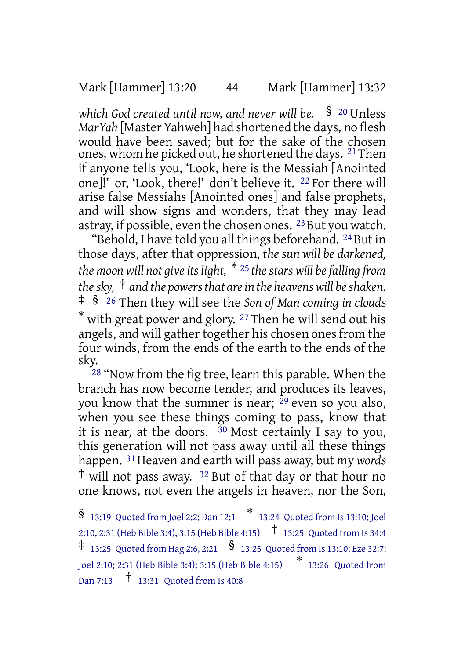Mark [Hammer] 13:20 44 Mark [Hammer] 13:32

*which God created until now, and never will be.* § <sup>20</sup> Unless *MarYah* [Master Yahweh] had shortened the days, no flesh would have been saved; but for the sake of the chosen ones, whom he picked out, he shortened the days. 21Then if anyone tells you, 'Look, here is the Messiah [Anointed one]!' or, 'Look, there!' don't believe it. 22 For there will arise false Messiahs [Anointed ones] and false prophets, and will show signs and wonders, that they may lead astray, if possible, even the chosen ones. <sup>23</sup> But you watch.

"Behold, I have told you all things beforehand. <sup>24</sup> But in those days, after that oppression, *the sun will be darkened, the moon* will not give its light,  $*$  <sup>25</sup> the stars will be falling from *thesky,* † *and the powersthat arein the heavenswill beshaken.* ‡ § <sup>26</sup> Then they will see the *Son of Man coming in clouds* \* with great power and glory. <sup>27</sup> Then he will send out his angels, and will gather together his chosen ones from the four winds, from the ends of the earth to the ends of the sky.

<sup>28</sup> "Now from the fig tree, learn this parable. When the branch has now become tender, and produces its leaves, you know that the summer is near;  $29$  even so you also, when you see these things coming to pass, know that it is near, at the doors.  $\frac{30}{9}$  Most certainly I say to you, this generation will not pass away until all these things happen. 31Heaven and earth will pass away, but my *words*  $\dagger$  will not pass away. <sup>32</sup> But of that day or that hour no one knows, not even the angels in heaven, nor the Son,

<sup>§</sup> 13:19 Quoted from Joel 2:2; Dan 12:1 \* 13:24 Quoted from Is 13:10; Joel 2:10, 2:31 (Heb Bible 3:4), 3:15 (Heb Bible 4:15) † 13:25 Quoted from Is 34:4  $\ddagger$  13:25 Quoted from Hag 2:6, 2:21  $\frac{\$}$  13:25 Quoted from Is 13:10; Eze 32:7; Joel 2:10; 2:31 (Heb Bible 3:4); 3:15 (Heb Bible 4:15) \* 13:26 Quoted from Dan 7:13 † 13:31 Quoted from Is 40:8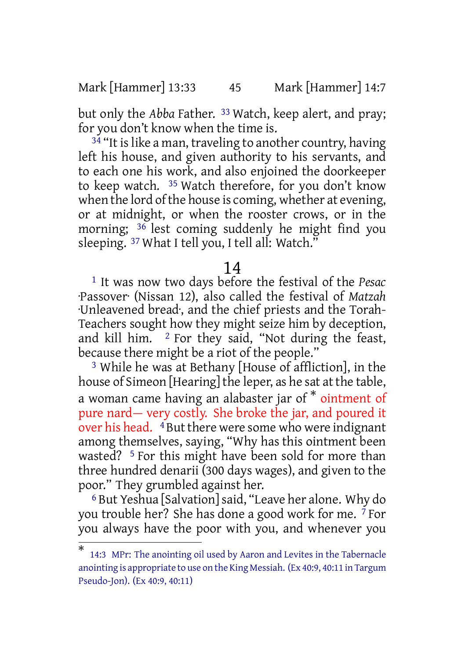Mark [Hammer] 13:33 45 Mark [Hammer] 14:7

but only the *Abba* Father. 33 Watch, keep alert, and pray; for you don't know when the time is.

 $34$  "It is like a man, traveling to another country, having left his house, and given authority to his servants, and to each one his work, and also enjoined the doorkeeper to keep watch. 35 Watch therefore, for you don't know when the lord of the house is coming, whether at evening, or at midnight, or when the rooster crows, or in the morning; 36 lest coming suddenly he might find you sleeping. <sup>37</sup> What I tell you, I tell all: Watch.'

#### 14

1 It was now two days before the festival of the *Pesac* ·Passover· (Nissan 12), also called the festival of *Matzah* ·Unleavened bread·, and the chief priests and the Torah-Teachers sought how they might seize him by deception, and kill him.  $\frac{2}{3}$  For they said, "Not during the feast, because there might be a riot of the people."

3 While he was at Bethany [House of affliction], in the house of Simeon [Hearing] the leper, as he sat at the table, a woman came having an alabaster jar of \* ointment of pure nard— very costly. She broke the jar, and poured it over his head. <sup>4</sup> But there were some who were indignant among themselves, saying, "Why has this ointment been wasted? <sup>5</sup> For this might have been sold for more than three hundred denarii (300 days wages), and given to the poor." They grumbled against her.

6 But Yeshua [Salvation]said, "Leave her alone. Why do you trouble her? She has done a good work for me. 7 For you always have the poor with you, and whenever you

<sup>\*</sup> 14:3 MPr: The anointing oil used by Aaron and Levites in the Tabernacle anointing is appropriate to use on the King Messiah. (Ex 40:9, 40:11 in Targum Pseudo-Jon). (Ex 40:9, 40:11)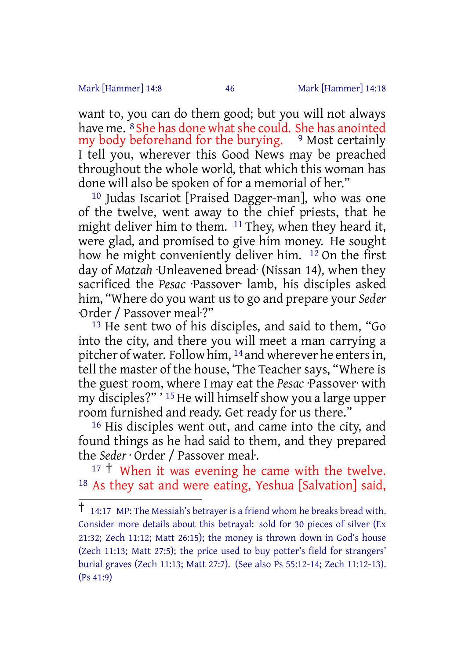Mark [Hammer] 14:8 46 Mark [Hammer] 14:18

want to, you can do them good; but you will not always have me. <sup>8</sup> She has done what she could. She has anointed<br>my body beforehand for the burying. <sup>9</sup> Most certainly my body beforehand for the burying. I tell you, wherever this Good News may be preached throughout the whole world, that which this woman has done will also be spoken of for a memorial of her."

10 Judas Iscariot [Praised Dagger-man], who was one of the twelve, went away to the chief priests, that he might deliver him to them. 11 They, when they heard it, were glad, and promised to give him money. He sought how he might conveniently deliver him.  $12$  On the first day of *Matzah* ·Unleavened bread· (Nissan 14), when they sacrificed the *Pesac* ·Passover· lamb, his disciples asked him, "Where do you want us to go and prepare your *Seder* ·Order / Passover meal·?"

13 He sent two of his disciples, and said to them, "Go into the city, and there you will meet a man carrying a pitcher of water. Follow him, 14 and wherever he entersin, tell the master of the house, 'The Teacher says, "Where is the guest room, where I may eat the *Pesac* ·Passover· with my disciples?" ' <sup>15</sup> He will himself show you a large upper room furnished and ready. Get ready for us there."

16 His disciples went out, and came into the city, and found things as he had said to them, and they prepared the *Seder* · Order / Passover meal·.

 $17 \text{ } \dagger$  When it was evening he came with the twelve. 18 As they sat and were eating, Yeshua [Salvation] said,

<sup>†</sup> 14:17 MP: The Messiah's betrayer is <sup>a</sup> friend whom he breaks bread with. Consider more details about this betrayal: sold for 30 pieces of silver (Ex 21:32; Zech 11:12; Matt 26:15); the money is thrown down in God's house (Zech 11:13; Matt 27:5); the price used to buy potter's field for strangers' burial graves (Zech 11:13; Matt 27:7). (See also Ps 55:12-14; Zech 11:12-13). (Ps 41:9)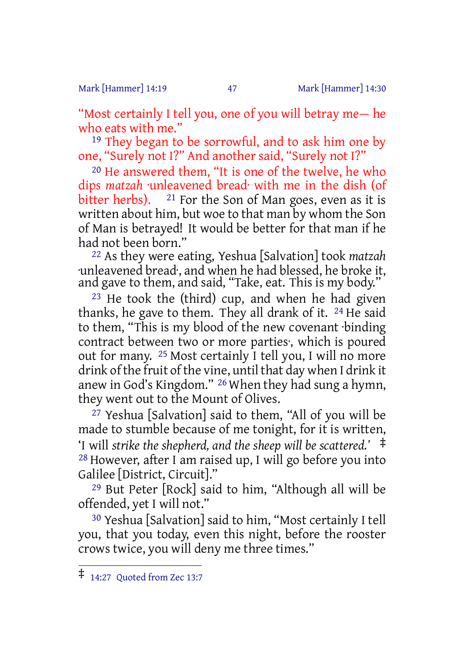Mark [Hammer] 14:19 47 Mark [Hammer] 14:30

"Most certainly I tell you, one of you will betray me— he who eats with me."

19 They began to be sorrowful, and to ask him one by one, "Surely not I?" And another said, "Surely not I?"

20 He answered them, "It is one of the twelve, he who dips *matzah* ·unleavened bread· with me in the dish (of bitter herbs).  $21$  For the Son of Man goes, even as it is written about him, but woe to that man by whom the Son of Man is betrayed! It would be better for that man if he had not been born."

22 As they were eating, Yeshua [Salvation] took *matzah* ·unleavened bread·, and when he had blessed, he broke it, and gave to them, and said, "Take, eat. This is my body."

23 He took the (third) cup, and when he had given thanks, he gave to them. They all drank of it. 24 He said to them, "This is my blood of the new covenant ·binding contract between two or more parties·, which is poured out for many. 25 Most certainly I tell you, I will no more drink of the fruit of the vine, until that day when I drink it anew in God's Kingdom." 26 When they had sung a hymn, they went out to the Mount of Olives.

27 Yeshua [Salvation] said to them, "All of you will be made to stumble because of me tonight, for it is written, 'I will *strike the shepherd, and the sheep will be scattered.'* ‡ 28 However, after I am raised up, I will go before you into Galilee [District, Circuit]."

29 But Peter [Rock] said to him, "Although all will be offended, yet I will not."

30 Yeshua [Salvation] said to him, "Most certainly I tell you, that you today, even this night, before the rooster crows twice, you will deny me three times."

<sup>‡</sup> 14:27 Quoted from Zec 13:7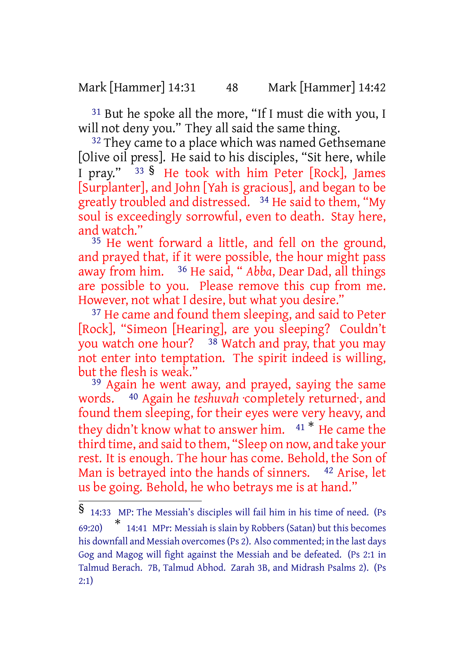Mark [Hammer] 14:31 48 Mark [Hammer] 14:42

31 But he spoke all the more, "If I must die with you, I will not deny you." They all said the same thing.

<sup>32</sup> They came to a place which was named Gethsemane [Olive oil press]. He said to his disciples, "Sit here, while I pray." <sup>33</sup> § He took with him Peter [Rock], James [Surplanter], and John [Yah is gracious], and began to be greatly troubled and distressed. 34 He said to them, "My soul is exceedingly sorrowful, even to death. Stay here, and watch."

35 He went forward a little, and fell on the ground, and prayed that, if it were possible, the hour might pass away from him. 36 He said, " *Abba*, Dear Dad, all things are possible to you. Please remove this cup from me. However, not what I desire, but what you desire."

37 He came and found them sleeping, and said to Peter [Rock], "Simeon [Hearing], are you sleeping? Couldn't you watch one hour?  $38$  Watch and pray, that you may not enter into temptation. The spirit indeed is willing, but the flesh is weak."

<sup>39</sup> Again he went away, and prayed, saying the same words. 40 Again he *teshuvah* ·completely returned·, and found them sleeping, for their eyes were very heavy, and they didn't know what to answer him. <sup>41</sup> \* He came the third time, and said to them, "Sleep on now, and take your rest. It is enough. The hour has come. Behold, the Son of Man is betrayed into the hands of sinners. 42 Arise, let us be going. Behold, he who betrays me is at hand."

<sup>§</sup> 14:33 MP: The Messiah's disciples will fail him in his time of need. (Ps 69:20) \* 14:41 MPr: Messiah is slain by Robbers (Satan) but this becomes his downfall and Messiah overcomes(Ps 2). Also commented; in the last days Gog and Magog will fight against the Messiah and be defeated. (Ps 2:1 in Talmud Berach. 7B, Talmud Abhod. Zarah 3B, and Midrash Psalms 2). (Ps 2:1)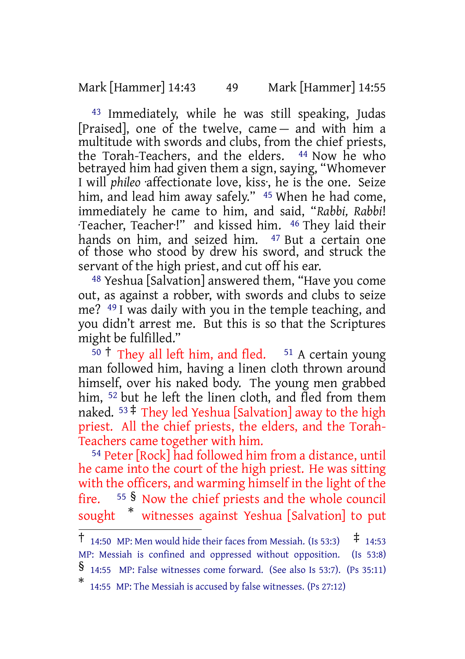Mark [Hammer] 14:43 49 Mark [Hammer] 14:55

43 Immediately, while he was still speaking, Judas [Praised], one of the twelve, came — and with him a multitude with swords and clubs, from the chief priests, the Torah-Teachers, and the elders. 44 Now he who betrayed him had given them a sign, saying, "Whomever I will *phileo* ·affectionate love, kiss·, he is the one. Seize him, and lead him away safely." <sup>45</sup> When he had come, immediately he came to him, and said, "*Rabbi, Rabbi*! ·Teacher, Teacher·!" and kissed him. 46 They laid their hands on him, and seized him. <sup>47</sup> But a certain one of those who stood by drew his sword, and struck the servant of the high priest, and cut off his ear.

48 Yeshua [Salvation] answered them, "Have you come out, as against a robber, with swords and clubs to seize me? 49 I was daily with you in the temple teaching, and you didn't arrest me. But this is so that the Scriptures might be fulfilled."

 $50 \text{ t}$  They all left him, and fled.  $51 \text{ A certain young}$ man followed him, having a linen cloth thrown around himself, over his naked body. The young men grabbed him, <sup>52</sup> but he left the linen cloth, and fled from them naked.  $53 \div$  They led Yeshua [Salvation] away to the high priest. All the chief priests, the elders, and the Torah-Teachers came together with him.

54 Peter [Rock] had followed him from a distance, until he came into the court of the high priest. He was sitting with the officers, and warming himself in the light of the fire. <sup>55</sup> § Now the chief priests and the whole council sought \* witnesses against Yeshua [Salvation] to put

<sup>†</sup> 14:50 MP: Men would hide their faces from Messiah. (Is 53:3) ‡ 14:53 MP: Messiah is confined and oppressed without opposition. (Is 53:8)

<sup>§</sup> 14:55 MP: False witnesses come forward. (See also Is 53:7). (Ps 35:11)

<sup>\*</sup> 14:55 MP: The Messiah is accused by false witnesses. (Ps 27:12)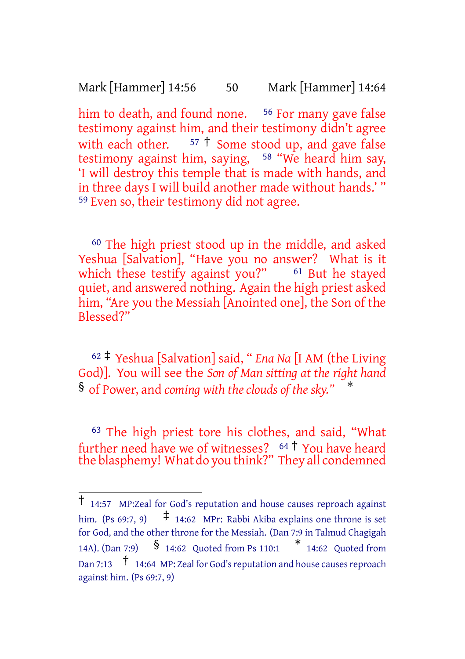Mark [Hammer] 14:56 50 Mark [Hammer] 14:64

him to death, and found none. <sup>56</sup> For many gave false testimony against him, and their testimony didn't agree with each other.  $57 \text{ } \frac{1}{2}$  Some stood up, and gave false testimony against him, saying, 58 "We heard him say, 'I will destroy this temple that is made with hands, and in three days I will build another made without hands.' " 59 Even so, their testimony did not agree.

60 The high priest stood up in the middle, and asked Yeshua [Salvation], "Have you no answer? What is it which these testify against you?"  $61$  But he stayed quiet, and answered nothing. Again the high priest asked him, "Are you the Messiah [Anointed one], the Son of the Blessed?"

<sup>62</sup> ‡ Yeshua [Salvation] said, " *Ena Na* [I AM (the Living God)]. You will see the *Son of Man sitting at the right hand* § of Power, and *coming with the clouds of the sky."* \*

63 The high priest tore his clothes, and said, "What further need have we of witnesses? <sup>64</sup> † You have heard the blasphemy! What do you think?" They all condemned

<sup>†</sup> 14:57 MP:Zeal for God's reputation and house causes reproach against him. (Ps 69:7, 9)  $\uparrow$  14:62 MPr: Rabbi Akiba explains one throne is set for God, and the other throne for the Messiah. (Dan 7:9 in Talmud Chagigah 14A). (Dan 7:9) § 14:62 Quoted from Ps 110:1 \* 14:62 Quoted from Dan 7:13  $\uparrow$  14:64 MP: Zeal for God's reputation and house causes reproach against him. (Ps 69:7, 9)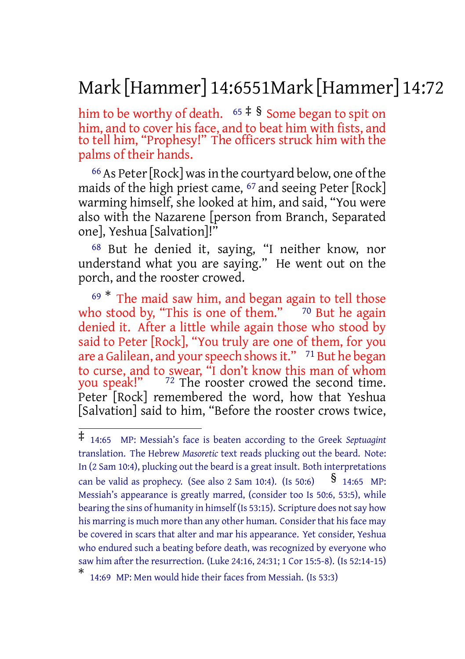# Mark [Hammer] 14:6551Mark [Hammer] 14:72

him to be worthy of death.  $65 \div 8$  Some began to spit on him, and to cover his face, and to beat him with fists, and to tell him, "Prophesy!" The officers struck him with the palms of their hands.

<sup>66</sup> As Peter [Rock] was in the courtyard below, one of the maids of the high priest came, <sup>67</sup> and seeing Peter [Rock] warming himself, she looked at him, and said, "You were also with the Nazarene [person from Branch, Separated one], Yeshua [Salvation]!"

68 But he denied it, saying, "I neither know, nor understand what you are saying." He went out on the porch, and the rooster crowed.

<sup>69</sup> \* The maid saw him, and began again to tell those who stood by, "This is one of them."  $70$  But he again denied it. After a little while again those who stood by said to Peter [Rock], "You truly are one of them, for you are a Galilean, and your speech shows it." <sup>71</sup> But he began to curse, and to swear, "I don't know this man of whom<br>you speak!" <sup>72</sup> The rooster crowed the second time.  $72$  The rooster crowed the second time. Peter [Rock] remembered the word, how that Yeshua [Salvation] said to him, "Before the rooster crows twice,

<sup>‡</sup> 14:65 MP: Messiah's face is beaten according to the Greek *Septuagint* translation. The Hebrew *Masoretic* text reads plucking out the beard. Note: In (2 Sam 10:4), plucking out the beard is a great insult. Both interpretations can be valid as prophecy. (See also 2 Sam 10:4). (Is 50:6)  $\frac{\$}{\$}$  14:65 MP: Messiah's appearance is greatly marred, (consider too Is 50:6, 53:5), while bearing the sins of humanity in himself (Is 53:15). Scripture does not say how his marring is much more than any other human. Consider that his face may be covered in scars that alter and mar his appearance. Yet consider, Yeshua who endured such a beating before death, was recognized by everyone who saw him after the resurrection. (Luke 24:16, 24:31; 1 Cor 15:5-8). (Is 52:14-15)

<sup>\*</sup> 14:69 MP: Men would hide their faces from Messiah. (Is 53:3)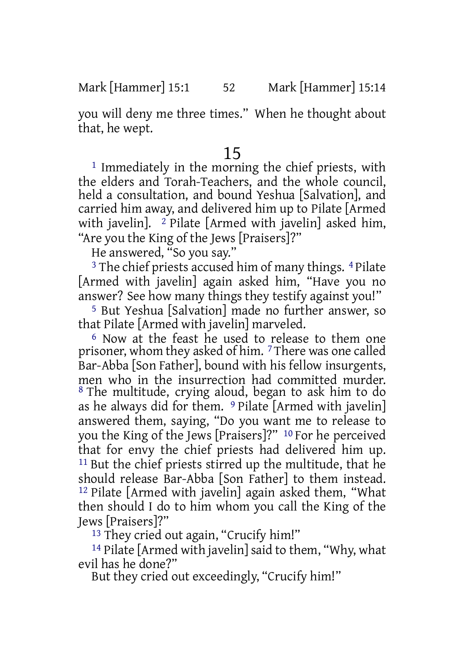you will deny me three times." When he thought about that, he wept.

# 15

<sup>1</sup> Immediately in the morning the chief priests, with the elders and Torah-Teachers, and the whole council, held a consultation, and bound Yeshua [Salvation], and carried him away, and delivered him up to Pilate [Armed with javelin]. <sup>2</sup> Pilate [Armed with javelin] asked him, "Are you the King of the Jews [Praisers]?"

He answered, "So you say."

<sup>3</sup> The chief priests accused him of many things. <sup>4</sup> Pilate [Armed with javelin] again asked him, "Have you no answer? See how many things they testify against you!"

5 But Yeshua [Salvation] made no further answer, so that Pilate [Armed with javelin] marveled.

6 Now at the feast he used to release to them one prisoner, whom they asked of him. 7 There was one called Bar-Abba [Son Father], bound with his fellow insurgents, men who in the insurrection had committed murder. 8 The multitude, crying aloud, began to ask him to do as he always did for them.  $9$  Pilate [Armed with javelin] answered them, saying, "Do you want me to release to you the King of the Jews [Praisers]?" 10 For he perceived that for envy the chief priests had delivered him up. <sup>11</sup> But the chief priests stirred up the multitude, that he should release Bar-Abba [Son Father] to them instead. 12 Pilate [Armed with javelin] again asked them, "What then should I do to him whom you call the King of the Jews [Praisers]?"

13 They cried out again, "Crucify him!"

14 Pilate [Armed with javelin] said to them, "Why, what evil has he done?"

But they cried out exceedingly, "Crucify him!"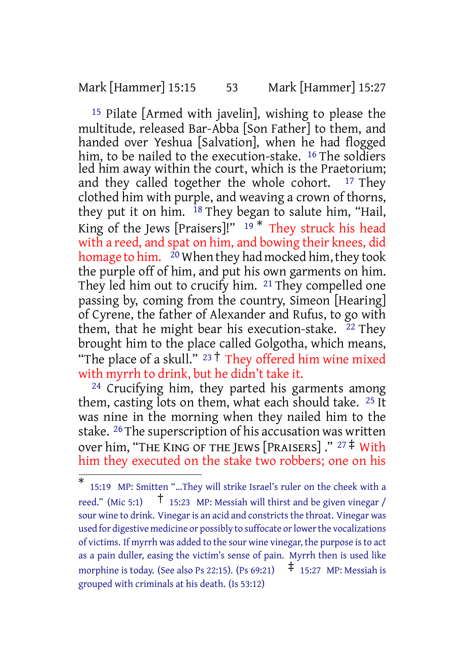### Mark [Hammer] 15:15 53 Mark [Hammer] 15:27

15 Pilate [Armed with javelin], wishing to please the multitude, released Bar-Abba [Son Father] to them, and handed over Yeshua [Salvation], when he had flogged him, to be nailed to the execution-stake. <sup>16</sup> The soldiers led him away within the court, which is the Praetorium; and they called together the whole cohort.  $17$  They clothed him with purple, and weaving a crown of thorns, they put it on him. <sup>18</sup> They began to salute him, "Hail, King of the Jews [Praisers]!"  $19 *$  They struck his head with a reed, and spat on him, and bowing their knees, did homage to him. <sup>20</sup> When they had mocked him, they took the purple off of him, and put his own garments on him. They led him out to crucify him. 21 They compelled one passing by, coming from the country, Simeon [Hearing] of Cyrene, the father of Alexander and Rufus, to go with them, that he might bear his execution-stake.  $22$  They brought him to the place called Golgotha, which means, "The place of a skull."  $23 \text{ }^{\dagger}$  They offered him wine mixed with myrrh to drink, but he didn't take it.

<sup>24</sup> Crucifying him, they parted his garments among them, casting lots on them, what each should take. 25 It was nine in the morning when they nailed him to the stake. 26 The superscription of his accusation was written over him, "THE KING OF THE JEWS [PRAISERS] ." <sup>27</sup> ‡ With him they executed on the stake two robbers; one on his

<sup>\*</sup> 15:19 MP: Smitten "...They will strike Israel's ruler on the cheek with a reed." (Mic 5:1)  $\uparrow$  15:23 MP: Messiah will thirst and be given vinegar / sour wine to drink. Vinegar is an acid and constricts the throat. Vinegar was used for digestive medicine or possibly to suffocate or lower the vocalizations of victims. If myrrh was added to the sour wine vinegar, the purpose isto act as a pain duller, easing the victim's sense of pain. Myrrh then is used like morphine is today. (See also Ps 22:15). (Ps 69:21)  $\pm$  15:27 MP: Messiah is grouped with criminals at his death. (Is 53:12)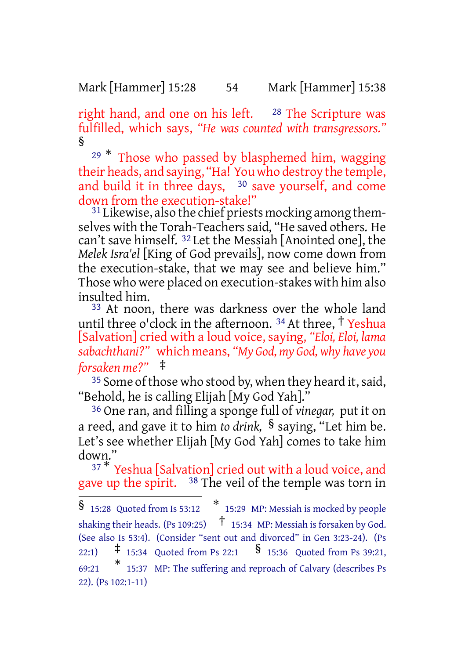Mark [Hammer] 15:28 54 Mark [Hammer] 15:38

right hand, and one on his left. <sup>28</sup> The Scripture was fulfilled, which says, *"He was counted with transgressors."* §

 $29 *$  Those who passed by blasphemed him, wagging their heads, and saying, "Ha! You who destroy the temple, and build it in three days, <sup>30</sup> save yourself, and come down from the execution-stake!"

<sup>31</sup> Likewise, also the chief priests mocking among themselves with the Torah-Teachers said, "He saved others. He can't save himself. 32 Let the Messiah [Anointed one], the *Melek Isra'el* [King of God prevails], now come down from the execution-stake, that we may see and believe him." Those who were placed on execution-stakes with him also insulted him.

<sup>33</sup> At noon, there was darkness over the whole land until three o'clock in the afternoon.  $34$  At three,  $\frac{1}{2}$  Yeshua [Salvation] cried with a loud voice, saying, *"Eloi, Eloi, lama sabachthani?"* which means, *"My God, my God, why have you forsaken me?"* ‡

<sup>35</sup> Some of those who stood by, when they heard it, said, "Behold, he is calling Elijah [My God Yah]."

36 One ran, and filling a sponge full of *vinegar,* put it on a reed, and gave it to him *to drink,* § saying, "Let him be. Let's see whether Elijah [My God Yah] comes to take him down."

 $37 <sup>*</sup>$  Yeshua [Salvation] cried out with a loud voice, and gave up the spirit. <sup>38</sup> The veil of the temple was torn in

<sup>§</sup> 15:28 Quoted from Is 53:12 \* 15:29 MP: Messiah is mocked by people shaking their heads. (Ps 109:25)  $\uparrow$  15:34 MP: Messiah is forsaken by God. (See also Is 53:4). (Consider "sent out and divorced" in Gen 3:23-24). (Ps 22:1)  $\frac{1}{7}$  15:34 Quoted from Ps 22:1  $\frac{1}{8}$  15:36 Quoted from Ps 39:21. 69:21 \* 15:37 MP: The suffering and reproach of Calvary (describes Ps 22). (Ps 102:1-11)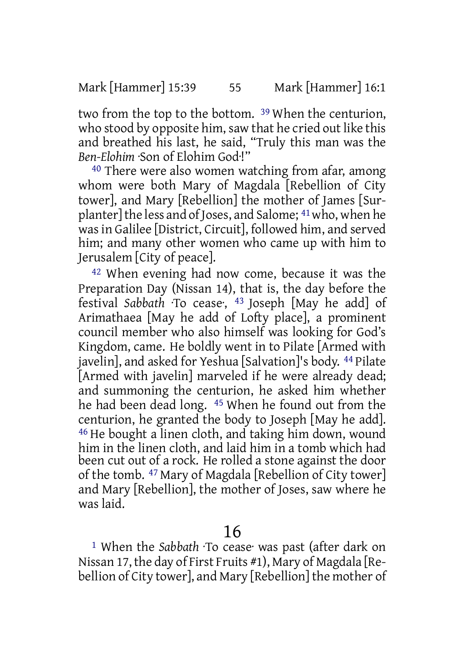two from the top to the bottom. 39 When the centurion, who stood by opposite him, saw that he cried out like this and breathed his last, he said, "Truly this man was the *Ben-Elohim* ·Son of Elohim God·!"

<sup>40</sup> There were also women watching from afar, among whom were both Mary of Magdala [Rebellion of City tower], and Mary [Rebellion] the mother of James [Surplanter]the less and of Joses, and Salome; 41who, when he was in Galilee [District, Circuit], followed him, and served him; and many other women who came up with him to Jerusalem [City of peace].

42 When evening had now come, because it was the Preparation Day (Nissan 14), that is, the day before the festival *Sabbath* ·To cease·, 43 Joseph [May he add] of Arimathaea [May he add of Lofty place], a prominent council member who also himself was looking for God's Kingdom, came. He boldly went in to Pilate [Armed with javelin], and asked for Yeshua [Salvation]'s body. 44 Pilate [Armed with javelin] marveled if he were already dead; and summoning the centurion, he asked him whether he had been dead long. 45 When he found out from the centurion, he granted the body to Joseph [May he add]. 46 He bought a linen cloth, and taking him down, wound him in the linen cloth, and laid him in a tomb which had been cut out of a rock. He rolled a stone against the door of the tomb. 47 Mary of Magdala [Rebellion of City tower] and Mary [Rebellion], the mother of Joses, saw where he was laid.

# 16

1 When the *Sabbath* ·To cease· was past (after dark on Nissan 17, the day of First Fruits #1), Mary of Magdala [Rebellion of City tower], and Mary [Rebellion] the mother of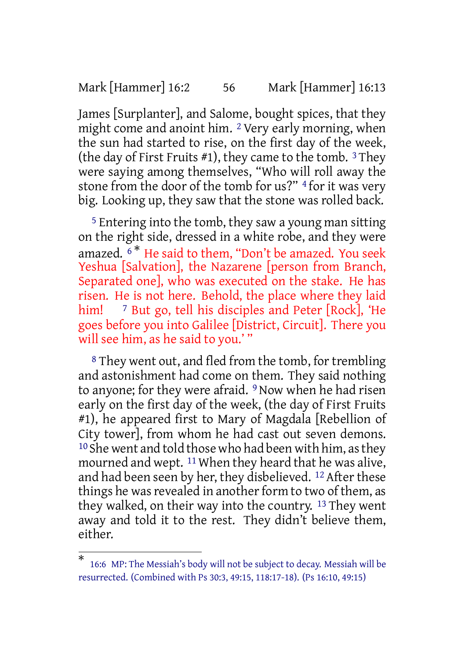Mark [Hammer] 16:2 56 Mark [Hammer] 16:13

James [Surplanter], and Salome, bought spices, that they might come and anoint him. 2 Very early morning, when the sun had started to rise, on the first day of the week, (the day of First Fruits  $#1$ ), they came to the tomb. <sup>3</sup> They were saying among themselves, "Who will roll away the stone from the door of the tomb for us?" <sup>4</sup> for it was very big. Looking up, they saw that the stone was rolled back.

5 Entering into the tomb, they saw a young man sitting on the right side, dressed in a white robe, and they were amazed.  $6*$  He said to them, "Don't be amazed. You seek Yeshua [Salvation], the Nazarene [person from Branch, Separated one], who was executed on the stake. He has risen. He is not here. Behold, the place where they laid him! <sup>7</sup> But go, tell his disciples and Peter [Rock], 'He goes before you into Galilee [District, Circuit]. There you will see him, as he said to you.' "

8 They went out, and fled from the tomb, for trembling and astonishment had come on them. They said nothing to anyone; for they were afraid. <sup>9</sup> Now when he had risen early on the first day of the week, (the day of First Fruits #1), he appeared first to Mary of Magdala [Rebellion of City tower], from whom he had cast out seven demons.  $10$  She went and told those who had been with him, as they mourned and wept.  $11$  When they heard that he was alive, and had been seen by her, they disbelieved. 12 After these things he was revealed in another form to two of them, as they walked, on their way into the country. 13 They went away and told it to the rest. They didn't believe them, either.

<sup>\*</sup> 16:6 MP: The Messiah's body will not be subject to decay. Messiah will be resurrected. (Combined with Ps 30:3, 49:15, 118:17-18). (Ps 16:10, 49:15)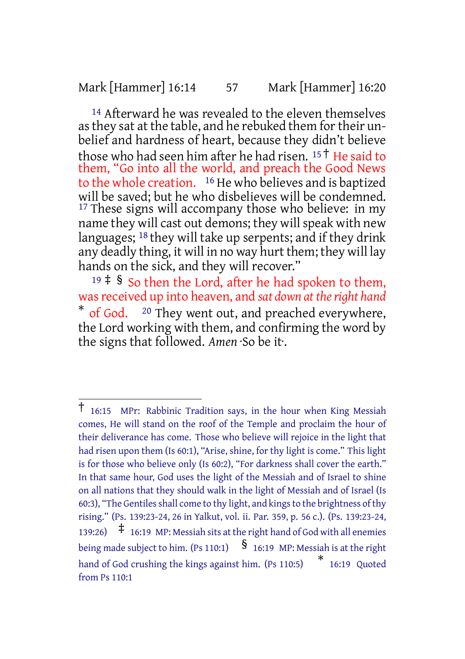### Mark [Hammer] 16:14 57 Mark [Hammer] 16:20

<sup>14</sup> Afterward he was revealed to the eleven themselves as they sat at the table, and he rebuked them for their unbelief and hardness of heart, because they didn't believe those who had seen him after he had risen. <sup>15</sup> † He said to them, "Go into all the world, and preach the Good News to the whole creation. 16 He who believes and is baptized will be saved; but he who disbelieves will be condemned. <sup>17</sup> These signs will accompany those who believe: in my name they will cast out demons; they will speak with new languages; <sup>18</sup> they will take up serpents; and if they drink any deadly thing, it will in no way hurt them; they will lay hands on the sick, and they will recover."

 $19 \div$  § So then the Lord, after he had spoken to them, wasreceived up into heaven, and *sat down at theright hand* \* of God. <sup>20</sup> They went out, and preached everywhere, the Lord working with them, and confirming the word by the signs that followed. *Amen* ·So be it·.

<sup>†</sup> 16:15 MPr: Rabbinic Tradition says, in the hour when King Messiah comes, He will stand on the roof of the Temple and proclaim the hour of their deliverance has come. Those who believe will rejoice in the light that had risen upon them (Is 60:1), "Arise, shine, for thy light is come." This light is for those who believe only (Is 60:2), "For darkness shall cover the earth." In that same hour, God uses the light of the Messiah and of Israel to shine on all nations that they should walk in the light of Messiah and of Israel (Is 60:3), "The Gentiles shall come to thy light, and kings to the brightness of thy rising." (Ps. 139:23-24, 26 in Yalkut, vol. ii. Par. 359, p. 56 c.). (Ps. 139:23-24, 139:26) ‡ 16:19 MP: Messiah sits at the right hand of God with all enemies being made subject to him. (Ps 110:1)  $\int$  16:19 MP: Messiah is at the right hand of God crushing the kings against him. (Ps 110:5)  $*$  16:19 Quoted from Ps 110:1